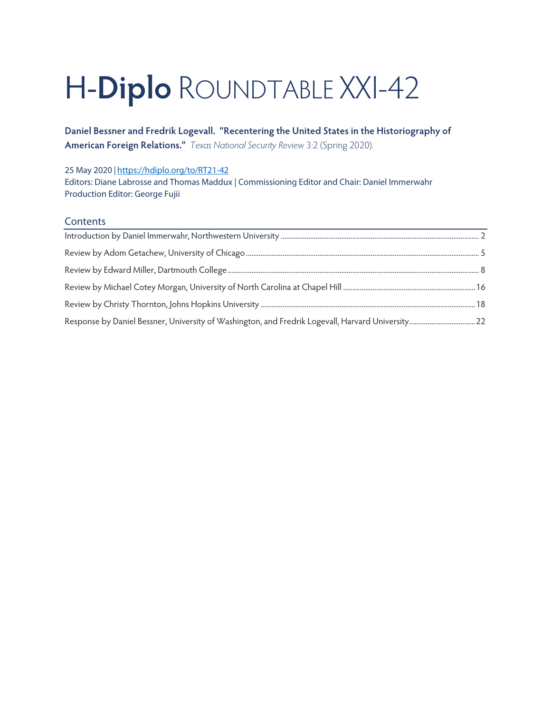# H-**Diplo** ROUNDTABLE XXI-42

**Daniel Bessner and Fredrik Logevall. "Recentering the United States in the Historiography of American Foreign Relations."** *Texas National Security Review* 3:2 (Spring 2020).

#### 25 May 2020 *|* <https://hdiplo.org/to/RT21-42>

Editors: Diane Labrosse and Thomas Maddux | Commissioning Editor and Chair: Daniel Immerwahr Production Editor: George Fujii

### **Contents**

| Response by Daniel Bessner, University of Washington, and Fredrik Logevall, Harvard University 22 |  |
|---------------------------------------------------------------------------------------------------|--|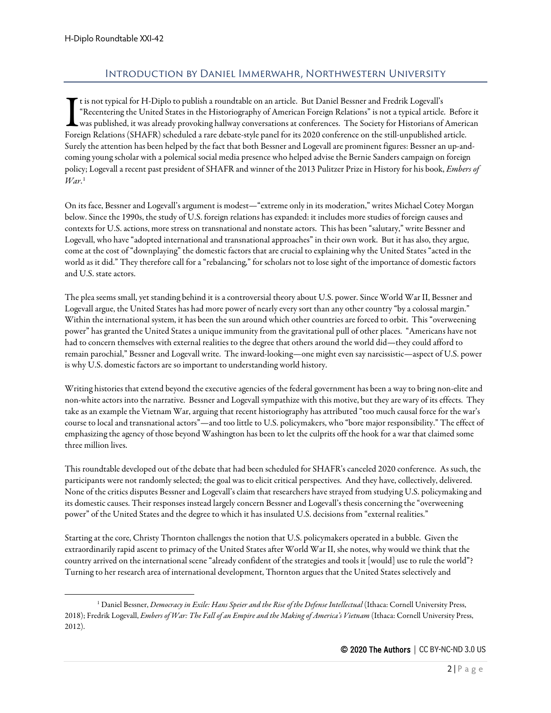## Introduction by Daniel Immerwahr, Northwestern University

<span id="page-1-0"></span>t is not typical for H-Diplo to publish a roundtable on an article. But Daniel Bessner and Fredrik Logevall's "Recentering the United States in the Historiography of American Foreign Relations" is not a typical article. Before it was published, it was already provoking hallway conversations at conferences. The Society for Historians of American The is not typical for H-Diplo to publish a roundtable on an article. But Daniel Bessner and Fredrik Logevall's<br>
"Recentering the United States in the Historiography of American Foreign Relations" is not a typical article. Surely the attention has been helped by the fact that both Bessner and Logevall are prominent figures: Bessner an up-andcoming young scholar with a polemical social media presence who helped advise the Bernie Sanders campaign on foreign policy; Logevall a recent past president of SHAFR and winner of the 2013 Pulitzer Prize in History for his book, *Embers of War*. [1](#page-1-1)

On its face, Bessner and Logevall's argument is modest—"extreme only in its moderation," writes Michael Cotey Morgan below. Since the 1990s, the study of U.S. foreign relations has expanded: it includes more studies of foreign causes and contexts for U.S. actions, more stress on transnational and nonstate actors. This has been "salutary," write Bessner and Logevall, who have "adopted international and transnational approaches" in their own work. But it has also, they argue, come at the cost of "downplaying" the domestic factors that are crucial to explaining why the United States "acted in the world as it did." They therefore call for a "rebalancing," for scholars not to lose sight of the importance of domestic factors and U.S. state actors.

The plea seems small, yet standing behind it is a controversial theory about U.S. power. Since World War II, Bessner and Logevall argue, the United States has had more power of nearly every sort than any other country "by a colossal margin." Within the international system, it has been the sun around which other countries are forced to orbit. This "overweening power" has granted the United States a unique immunity from the gravitational pull of other places. "Americans have not had to concern themselves with external realities to the degree that others around the world did—they could afford to remain parochial," Bessner and Logevall write. The inward-looking—one might even say narcissistic—aspect of U.S. power is why U.S. domestic factors are so important to understanding world history.

Writing histories that extend beyond the executive agencies of the federal government has been a way to bring non-elite and non-white actors into the narrative. Bessner and Logevall sympathize with this motive, but they are wary of its effects. They take as an example the Vietnam War, arguing that recent historiography has attributed "too much causal force for the war's course to local and transnational actors"—and too little to U.S. policymakers, who "bore major responsibility." The effect of emphasizing the agency of those beyond Washington has been to let the culprits off the hook for a war that claimed some three million lives.

This roundtable developed out of the debate that had been scheduled for SHAFR's canceled 2020 conference. As such, the participants were not randomly selected; the goal was to elicit critical perspectives. And they have, collectively, delivered. None of the critics disputes Bessner and Logevall's claim that researchers have strayed from studying U.S. policymaking and its domesticcauses. Their responses instead largely concern Bessner and Logevall's thesis concerning the "overweening power" of the United States and the degree to which it has insulated U.S. decisions from "external realities."

Starting at the core, Christy Thornton challenges the notion that U.S. policymakers operated in a bubble. Given the extraordinarily rapid ascent to primacy of the United States after World War II, she notes, why would we think that the country arrived on the international scene "already confident of the strategies and tools it [would] use to rule the world"? Turning to her research area of international development, Thornton argues that the United States selectively and

<span id="page-1-1"></span><sup>1</sup> Daniel Bessner, *Democracy in Exile: Hans Speier and the Rise of the Defense Intellectual* (Ithaca: Cornell University Press, 2018); Fredrik Logevall, *Embers of War: The Fall of an Empire and the Making of America's Vietnam* (Ithaca: Cornell University Press, 2012).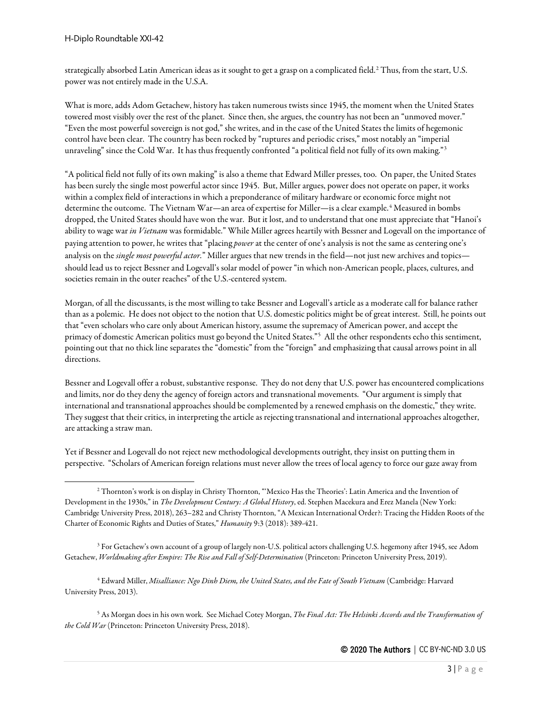strategically absorbed Latin American ideas as it sought to get a grasp on a complicated field.<sup>[2](#page-2-0)</sup> Thus, from the start, U.S. power was not entirely made in the U.S.A.

What is more, adds Adom Getachew, history has taken numerous twists since 1945, the moment when the United States towered most visibly over the rest of the planet. Since then, she argues, the country has not been an "unmoved mover." "Even the most powerful sovereign is not god," she writes, and in the case of the United States the limits of hegemonic control have been clear. The country has been rocked by "ruptures and periodic crises," most notably an "imperial unraveling" since the Cold War. It has thus frequently confronted "a political field not fully of its own making."[3](#page-2-1)

"A political field not fully of its own making" is also a theme that Edward Miller presses, too. On paper, the United States has been surely the single most powerful actor since 1945. But, Miller argues, power does not operate on paper, it works within a complex field of interactions in which a preponderance of military hardware or economic force might not determine the outcome. The Vietnam War—an area of expertise for Miller—is a clear example.<sup>[4](#page-2-2)</sup> Measured in bombs dropped, the United States should have won the war. But it lost, and to understand that one must appreciate that "Hanoi's ability to wage war *in Vietnam* was formidable." While Miller agrees heartily with Bessner and Logevall on the importance of paying attention to power, he writes that "placing *power*at the center of one's analysis is not the same as centering one's analysis on the *single most powerful actor.*" Miller argues that new trends in the field—not just new archives and topics should lead us to reject Bessner and Logevall's solar model of power "in which non-American people, places, cultures, and societies remain in the outer reaches" of the U.S.-centered system.

Morgan, of all the discussants, is the most willing to take Bessner and Logevall's article as a moderate call for balance rather than as a polemic. He does not object to the notion that U.S. domestic politics might be of great interest. Still, he points out that "even scholars who care only about American history, assume the supremacy of American power, and accept the primacy of domestic American politics must go beyond the United States."[5](#page-2-3) All the other respondents echo this sentiment, pointing out that no thick line separates the "domestic" from the "foreign" and emphasizing that causal arrows point in all directions.

Bessner and Logevall offer a robust, substantive response. They do not deny that U.S. power has encountered complications and limits, nor do they deny the agency of foreign actors and transnational movements. "Our argument is simply that international and transnational approaches should be complemented by a renewed emphasis on the domestic," they write. They suggest that their critics, in interpreting the article as rejecting transnational and international approaches altogether, are attacking a straw man.

Yet if Bessner and Logevall do not reject new methodological developments outright, they insist on putting them in perspective. "Scholars of American foreign relations must never allow the trees of local agency to force our gaze away from

<span id="page-2-1"></span><sup>3</sup> For Getachew's own account of a group of largely non-U.S. political actors challenging U.S. hegemony after 1945, see Adom Getachew, *Worldmaking after Empire: The Rise and Fall of Self-Determination* (Princeton: Princeton University Press, 2019).

<span id="page-2-2"></span><sup>4</sup> Edward Miller, *Misalliance: Ngo Dinh Diem, the United States, and the Fate of South Vietnam* (Cambridge: Harvard University Press, 2013).

<span id="page-2-3"></span><sup>5</sup> As Morgan does in his own work. See Michael Cotey Morgan, *The Final Act: The Helsinki Accords and the Transformation of the Cold War* (Princeton: Princeton University Press, 2018).

<span id="page-2-0"></span><sup>2</sup> Thornton's work is on display in Christy Thornton, "'Mexico Has the Theories': Latin America and the Invention of Development in the 1930s," in *The Development Century: A Global History*, ed. Stephen Macekura and Erez Manela (New York: Cambridge University Press, 2018), 263–282 and Christy Thornton, "A Mexican International Order?: Tracing the Hidden Roots of the Charter of Economic Rights and Duties of States," *Humanity* 9:3 (2018): 389-421.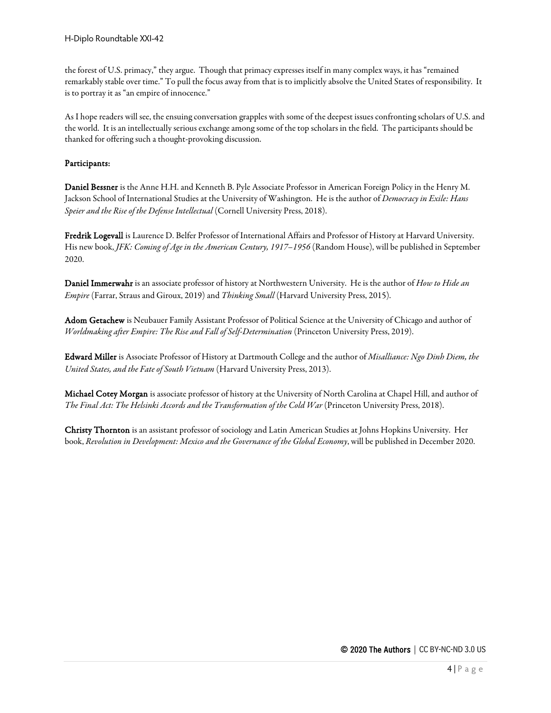the forest of U.S. primacy," they argue. Though that primacy expresses itself in many complex ways, it has "remained remarkably stable over time." To pull the focus away from that is to implicitly absolve the United States of responsibility. It is to portray it as "an empire of innocence."

As I hope readers will see, the ensuing conversation grapples with some of the deepest issues confronting scholars of U.S. and the world. It is an intellectually serious exchange among some of the top scholars in the field. The participants should be thanked for offering such a thought-provoking discussion.

#### Participants:

Daniel Bessner is the Anne H.H. and Kenneth B. Pyle Associate Professor in American Foreign Policy in the Henry M. Jackson School of International Studies at the University of Washington. He is the author of *Democracy in Exile: Hans Speier and the Rise of the Defense Intellectual* (Cornell University Press, 2018).

Fredrik Logevall is Laurence D. Belfer Professor of International Affairs and Professor of History at Harvard University. His new book, *JFK: Coming of Age in the American Century, 1917–1956* (Random House), will be published in September 2020.

Daniel Immerwahr is an associate professor of history at Northwestern University. He is the author of *How to Hide an Empire* (Farrar, Straus and Giroux, 2019) and *Thinking Small* (Harvard University Press, 2015).

Adom Getachew is Neubauer Family Assistant Professor of Political Science at the University of Chicago and author of *Worldmaking after Empire: The Rise and Fall of Self-Determination* (Princeton University Press, 2019).

Edward Miller is Associate Professor of History at Dartmouth College and the author of *Misalliance: Ngo Dinh Diem, the United States, and the Fate of South Vietnam* (Harvard University Press, 2013).

Michael Cotey Morgan is associate professor of history at the University of North Carolina at Chapel Hill, and author of *The Final Act: The Helsinki Accords and the Transformation of the Cold War* (Princeton University Press, 2018).

Christy Thornton is an assistant professor of sociology and Latin American Studies at Johns Hopkins University. Her book, *Revolution in Development: Mexico and the Governance of the Global Economy*, will be published in December 2020.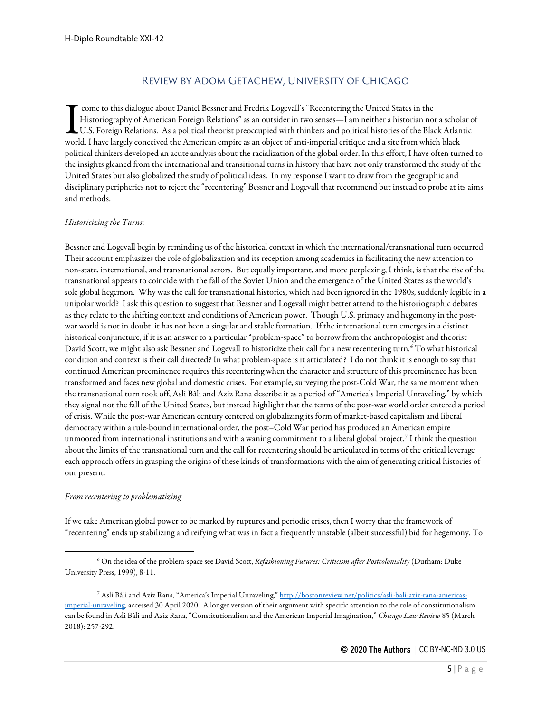## Review by Adom Getachew, University of Chicago

<span id="page-4-0"></span>come to this dialogue about Daniel Bessner and Fredrik Logevall's "Recentering the United States in the Historiography of American Foreign Relations" as an outsider in two senses—I am neither a historian nor a scholar of U.S. Foreign Relations. As a political theorist preoccupied with thinkers and political histories of the Black Atlantic The come to this dialogue about Daniel Bessner and Fredrik Logevall's "Recentering the United States in the Historiography of American Foreign Relations" as an outsider in two senses—I am neither a historian nor a schol<br>U. political thinkers developed an acute analysis about the racialization of the global order. In this effort, I have often turned to the insights gleaned from the international and transitional turns in history that have not only transformed the study of the United States but also globalized the study of political ideas. In my response I want to draw from the geographic and disciplinary peripheries not to reject the "recentering" Bessner and Logevall that recommend but instead to probe at its aims and methods.

#### *Historicizing the Turns:*

Bessner and Logevall begin by reminding us of the historical context in which the international/transnational turn occurred. Their account emphasizes the role of globalization and its reception among academics in facilitating the new attention to non-state, international, and transnational actors. But equally important, and more perplexing, I think, is that the rise of the transnational appears to coincide with the fall of the Soviet Union and the emergence of the United States as the world's sole global hegemon. Why was the call for transnational histories, which had been ignored in the 1980s, suddenly legible in a unipolar world? I ask this question to suggest that Bessner and Logevall might better attend to the historiographic debates as they relate to the shifting context and conditions of American power. Though U.S. primacy and hegemony in the postwar world is not in doubt, it has not been a singular and stable formation. If the international turn emerges in a distinct historical conjuncture, if it is an answer to a particular "problem-space" to borrow from the anthropologist and theorist David Scott, we might also ask Bessner and Logevall to historicize their call for a new recentering turn.<sup>[6](#page-4-1)</sup> To what historical condition and context is their call directed? In what problem-space is it articulated? I do not think it is enough to say that continued American preeminence requires this recentering when the character and structure of this preeminence has been transformed and faces new global and domestic crises. For example, surveying the post-Cold War, the same moment when the transnational turn took off, Asli Bâli and Aziz Rana describe it as a period of "America's Imperial Unraveling," by which they signal not the fall of the United States, but instead highlight that the terms of the post-war world order entered a period of crisis. While the post-war American century centered on globalizing its form of market-based capitalism and liberal democracy within a rule-bound international order, the post–Cold War period has produced an American empire unmoored from international institutions and with a waning commitment to a liberal global project.[7](#page-4-2) I think the question about the limits of the transnational turn and the call for recentering should be articulated in terms of the critical leverage each approach offers in grasping the origins of these kinds of transformations with the aim of generating critical histories of our present.

#### *From recentering to problematizing*

If we take American global power to be marked by ruptures and periodic crises, then I worry that the framework of "recentering" ends up stabilizing and reifying what was in fact a frequently unstable (albeit successful) bid for hegemony. To

<span id="page-4-1"></span><sup>6</sup> On the idea of the problem-space see David Scott, *Refashioning Futures: Criticism after Postcoloniality* (Durham: Duke University Press, 1999), 8-11.

<span id="page-4-2"></span><sup>7</sup> Asli Bâli and Aziz Rana, "America's Imperial Unraveling,[" http://bostonreview.net/politics/asli-bali-aziz-rana-americas](http://bostonreview.net/politics/asli-bali-aziz-rana-americas-imperial-unraveling)[imperial-unraveling,](http://bostonreview.net/politics/asli-bali-aziz-rana-americas-imperial-unraveling) accessed 30 April 2020. A longer version of their argument with specific attention to the role of constitutionalism can be found in Asli Bâli and Aziz Rana, "Constitutionalism and the American Imperial Imagination," *Chicago Law Review* 85 (March 2018): 257-292.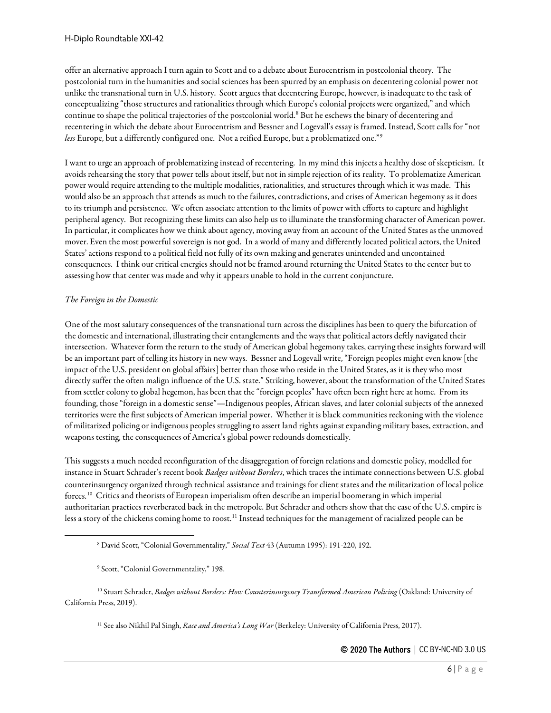offer an alternative approach I turn again to Scott and to a debate about Eurocentrism in postcolonial theory. The postcolonial turn in the humanities and social sciences has been spurred by an emphasis on decentering colonial power not unlike the transnational turn in U.S. history. Scott argues that decentering Europe, however, is inadequate to the task of conceptualizing "those structures and rationalities through which Europe's colonial projects were organized," and which continue to shape the political trajectories of the postcolonial world.<sup>[8](#page-5-0)</sup> But he eschews the binary of decentering and recentering in which the debate about Eurocentrism and Bessner and Logevall's essay is framed. Instead, Scott calls for "not *less* Europe, but a differently configured one. Not a reified Europe, but a problematized one."[9](#page-5-1)

I want to urge an approach of problematizing instead of recentering. In my mind this injects a healthy dose of skepticism. It avoids rehearsing the story that power tells about itself, but not in simple rejection of its reality. To problematize American power would require attending to the multiple modalities, rationalities, and structures through which it was made. This would also be an approach that attends as much to the failures, contradictions, and crises of American hegemony as it does to its triumph and persistence. We often associate attention to the limits of power with efforts to capture and highlight peripheral agency. But recognizing these limits can also help us to illuminate the transforming character of American power. In particular, it complicates how we think about agency, moving away from an account of the United States as the unmoved mover. Even the most powerful sovereign is not god. In a world of many and differently located political actors, the United States' actions respond to a political field not fully of its own making and generates unintended and uncontained consequences. I think our critical energies should not be framed around returning the United States to the center but to assessing how that center was made and why it appears unable to hold in the current conjuncture.

#### *The Foreign in the Domestic*

One of the most salutary consequences of the transnational turn across the disciplines has been to query the bifurcation of the domestic and international, illustrating their entanglements and the ways that political actors deftly navigated their intersection. Whatever form the return to the study of American global hegemony takes, carrying these insights forward will be an important part of telling its history in new ways. Bessner and Logevall write, "Foreign peoples might even know [the impact of the U.S. president on global affairs] better than those who reside in the United States, as it is they who most directly suffer the often malign influence of the U.S. state." Striking, however, about the transformation of the United States from settler colony to global hegemon, has been that the "foreign peoples" have often been right here at home. From its founding, those "foreign in a domestic sense"—Indigenous peoples, African slaves, and later colonial subjects of the annexed territories were the first subjects of American imperial power. Whether it is black communities reckoning with the violence of militarized policing or indigenous peoples struggling to assert land rights against expanding military bases, extraction, and weapons testing, the consequences of America's global power redounds domestically.

This suggests a much needed reconfiguration of the disaggregation of foreign relations and domestic policy, modelled for instance in Stuart Schrader's recent book *Badges without Borders*, which traces the intimate connections between U.S. global counterinsurgency organized through technical assistance and trainings for client states and the militarization of local police forces.[10](#page-5-2) Critics and theorists of European imperialism often describe an imperial boomerang in which imperial authoritarian practices reverberated back in the metropole. But Schrader and others show that the case of the U.S. empire is less a story of the chickens coming home to roost.<sup>[11](#page-5-3)</sup> Instead techniques for the management of racialized people can be

<span id="page-5-3"></span><span id="page-5-2"></span><span id="page-5-1"></span><span id="page-5-0"></span><sup>10</sup> Stuart Schrader, *Badges without Borders: How Counterinsurgency Transformed American Policing* (Oakland: University of California Press, 2019).

<sup>11</sup> See also Nikhil Pal Singh, *Race and America's Long War* (Berkeley: University of California Press, 2017).

<sup>8</sup> David Scott, "Colonial Governmentality," *Social Text* 43 (Autumn 1995): 191-220, 192.

<sup>9</sup> Scott, "Colonial Governmentality," 198.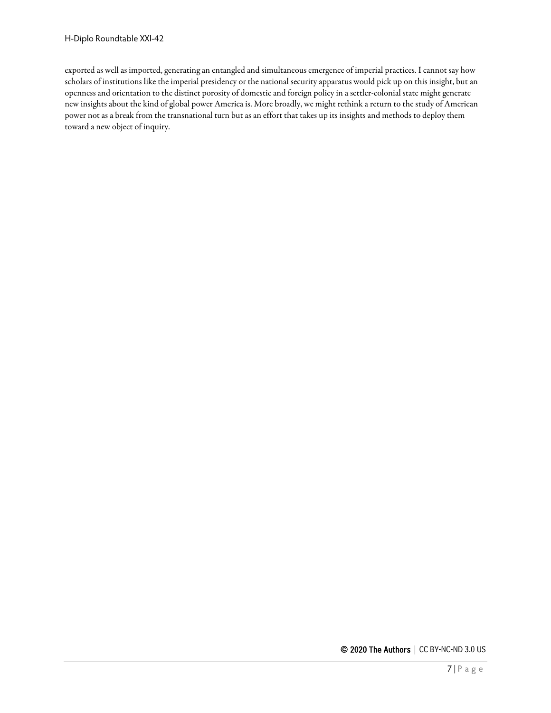exported as well as imported, generating an entangled and simultaneous emergence of imperial practices. I cannot say how scholars of institutions like the imperial presidency or the national security apparatus would pick up on this insight, but an openness and orientation to the distinct porosity of domestic and foreign policy in a settler-colonial state might generate new insights about the kind of global power America is. More broadly, we might rethink a return to the study of American power not as a break from the transnational turn but as an effort that takes up its insights and methods to deploy them toward a new object of inquiry.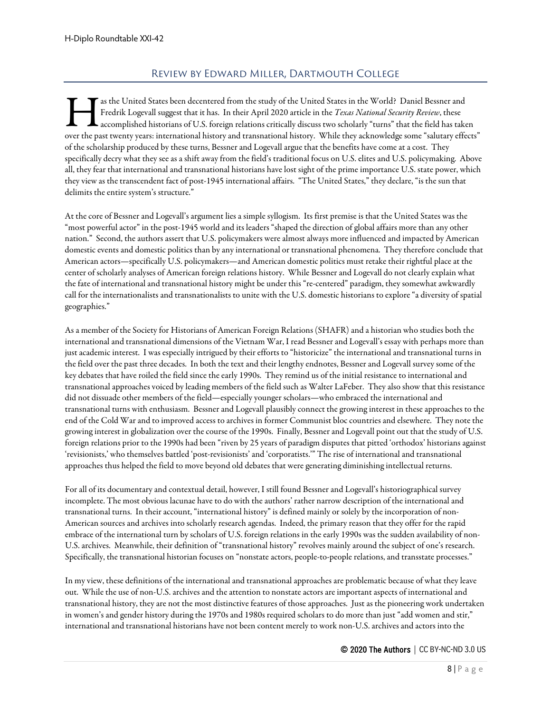## Review by Edward Miller, Dartmouth College

<span id="page-7-0"></span>as the United States been decentered from the study of the United States in the World? Daniel Bessner and Fredrik Logevall suggest that it has. In their April 2020 articlein the *Texas National Security Review*, these accomplished historians of U.S. foreign relations critically discuss two scholarly "turns" that the field has taken The past twenty years: international history and transnational history. While they acknowledge some "salutary effects" accomplished historians of U.S. foreign relations critically discuss two scholarly "turns" that the fie of the scholarship produced by these turns, Bessner and Logevall argue that the benefits have come at acost. They specifically decry what they see as ashift away from the field's traditional focus on U.S. elites and U.S. policymaking. Above all, they fear that international and transnational historians have lost sight of the prime importance U.S. state power, which they view as the transcendent fact of post-1945 international affairs. "The United States," they declare, "is the sun that delimits the entire system's structure."

At the core of Bessner and Logevall's argument lies a simplesyllogism. Its first premise is that the United States was the "most powerful actor" in the post-1945 world and its leaders "shaped the direction of global affairs more than any other nation." Second, the authors assert that U.S. policymakers were almost always more influenced and impacted by American domestic events and domestic politics than by any international or transnational phenomena. They therefore conclude that American actors—specifically U.S. policymakers—and American domestic politics must retake their rightful place at the center of scholarly analyses of American foreign relations history. While Bessner and Logevall do not clearly explain what the fate of international and transnational history might be under this "re-centered" paradigm, they somewhat awkwardly call for the internationalists and transnationalists to unite with the U.S. domestic historians to explore "a diversity of spatial geographies."

As a member of the Society for Historians of American Foreign Relations (SHAFR) and a historian who studies both the international and transnational dimensions of the Vietnam War, I read Bessner and Logevall's essay with perhaps more than just academic interest. I was especially intrigued by their efforts to "historicize" the international and transnational turns in the field over the past three decades. In both the text and their lengthy endnotes, Bessner and Logevall survey some of the key debates that have roiled the field since the early 1990s. They remind us of the initial resistance to international and transnational approaches voiced by leading members of the field such as Walter LaFeber. They also show that this resistance did not dissuade other members of the field—especially younger scholars—who embraced the international and transnational turns with enthusiasm. Bessner and Logevall plausibly connect the growing interest in these approaches to the end of the Cold War and to improved access to archives in former Communist bloc countries and elsewhere. They note the growing interest in globalization over the course of the 1990s. Finally, Bessner and Logevall point out that the study of U.S. foreign relations prior to the 1990s had been "riven by 25 years of paradigm disputes that pitted 'orthodox' historians against 'revisionists,' who themselves battled 'post-revisionists' and 'corporatists.'" The rise of international and transnational approaches thus helped the field to move beyond old debates that were generating diminishing intellectual returns.

For all of its documentary and contextual detail, however, I still found Bessner and Logevall's historiographical survey incomplete. The most obvious lacunae have to do with the authors' rather narrow description of the international and transnational turns. In their account, "international history" is defined mainly or solely by the incorporation of non-American sources and archives into scholarly research agendas. Indeed, the primary reason that they offer for the rapid embrace of the international turn by scholars of U.S. foreign relations in the early 1990s was the sudden availability of non-U.S. archives. Meanwhile, their definition of "transnational history" revolves mainly around the subject of one's research. Specifically, the transnational historian focuses on "nonstate actors, people-to-people relations, and transstate processes."

In my view, these definitions of the international and transnational approaches are problematic because of what they leave out. While the use of non-U.S. archives and the attention to nonstate actors are important aspects of international and transnational history, they are not the most distinctive features of those approaches. Just as the pioneering work undertaken in women's and gender history during the 1970s and 1980s required scholars to do more than just "add women and stir," international and transnational historians have not been content merely to work non-U.S. archives and actors into the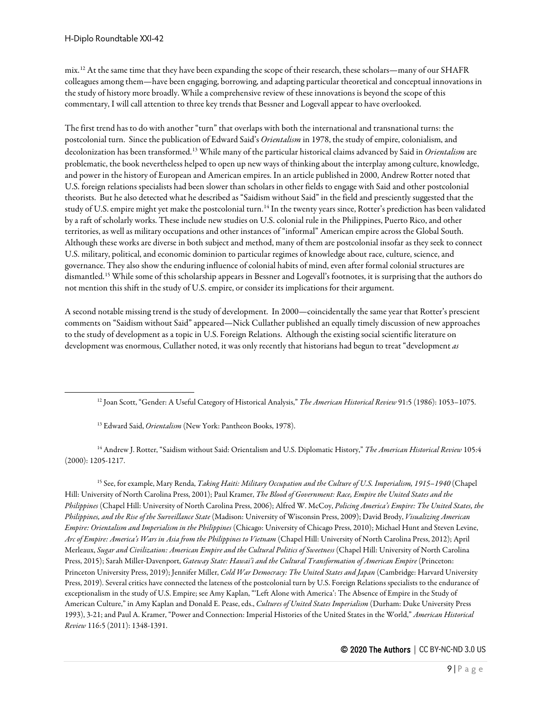mix.[12](#page-8-0) At the same time that they have been expanding the scope of their research, these scholars—many of our SHAFR colleagues among them—have been engaging, borrowing, and adapting particular theoretical and conceptual innovations in the study of history more broadly. While a comprehensive review of these innovations is beyond the scope of this commentary, I will call attention to three key trends that Bessner and Logevall appear to have overlooked.

The first trend has to do with another "turn" that overlaps with both the international and transnational turns: the postcolonial turn. Since the publication of Edward Said's *Orientalism* in 1978, the study ofempire, colonialism, and decolonization has been transformed.[13](#page-8-1) While many of the particular historical claims advanced by Said in *Orientalism* are problematic, the book nevertheless helped to open up new ways of thinking about the interplay among culture, knowledge, and power in the history of European and American empires. In an article published in 2000, Andrew Rotter noted that U.S. foreign relations specialists had been slower than scholars in other fields to engage with Said and other postcolonial theorists. But he also detected what he described as "Saidism without Said" in the field and presciently suggested that the study of U.S. empire might yet make the postcolonial turn.<sup>[14](#page-8-2)</sup> In the twenty years since, Rotter's prediction has been validated by a raft of scholarly works. These include new studies on U.S. colonial rule in the Philippines, Puerto Rico, and other territories, as well as military occupations and other instances of "informal" American empire across the Global South. Although these works are diverse in both subject and method, many of them are postcolonial insofar as they seek to connect U.S. military, political, and economic dominion to particular regimes of knowledge about race, culture, science, and governance. They also show the enduring influence of colonial habits of mind, even after formal colonial structures are dismantled.<sup>[15](#page-8-3)</sup> While some of this scholarship appears in Bessner and Logevall's footnotes, it is surprising that the authors do not mention this shift in the study of U.S. empire, or consider its implications for their argument.

A second notable missing trend is the study of development. In 2000—coincidentally the same year that Rotter's prescient comments on "Saidism without Said"appeared—Nick Cullather published an equally timely discussion of new approaches to the study of development as a topic in U.S. Foreign Relations. Although the existing social scientific literature on development was enormous, Cullather noted, it was only recently that historians had begun to treat "development *as* 

<sup>13</sup> Edward Said, *Orientalism* (New York: Pantheon Books, 1978).

<span id="page-8-2"></span><span id="page-8-1"></span><span id="page-8-0"></span><sup>14</sup> Andrew J. Rotter, "Saidism without Said: Orientalism and U.S. Diplomatic History," *The American Historical Review* 105:4 (2000): 1205-1217.

<span id="page-8-3"></span><sup>15</sup> See, for example, Mary Renda, *Taking Haiti: Military Occupation and the Culture of U.S. Imperialism, 1915–1940* (Chapel Hill: University of North Carolina Press, 2001); Paul Kramer, *The Blood of Government: Race, Empire the United States and the Philippines* (Chapel Hill: University of North Carolina Press, 2006); Alfred W. McCoy, *Policing America's Empire: The United States, the Philippines, and the Rise of the Surveillance State* (Madison: University of Wisconsin Press, 2009); David Brody, *Visualizing American Empire: Orientalism and Imperialism in the Philippines* (Chicago: University of Chicago Press, 2010); Michael Hunt and Steven Levine, *Arc of Empire: America's Wars in Asia from the Philippines to Vietnam* (Chapel Hill: University of North Carolina Press, 2012); April Merleaux, *Sugar and Civilization: American Empire and the Cultural Politics of Sweetness* (Chapel Hill: University of North Carolina Press, 2015); Sarah Miller-Davenport, *Gateway State: Hawai'i and the Cultural Transformation of American Empire* (Princeton: Princeton University Press, 2019); Jennifer Miller, *Cold War Democracy: The United States and Japan* (Cambridge: Harvard University Press, 2019). Several critics have connected the lateness of the postcolonial turn by U.S. Foreign Relations specialists to the endurance of exceptionalism in the study of U.S. Empire; see Amy Kaplan, "'Left Alone with America': The Absence of Empire in the Study of American Culture," in Amy Kaplan and Donald E. Pease, eds., *Cultures of United States Imperialism* (Durham: Duke University Press 1993), 3-21; and Paul A. Kramer, "Power and Connection: Imperial Histories of the United States in the World," *American Historical Review* 116:5 (2011): 1348-1391.

<sup>12</sup> Joan Scott, "Gender: A Useful Category of Historical Analysis," *The American Historical Review* 91:5 (1986): 1053–1075.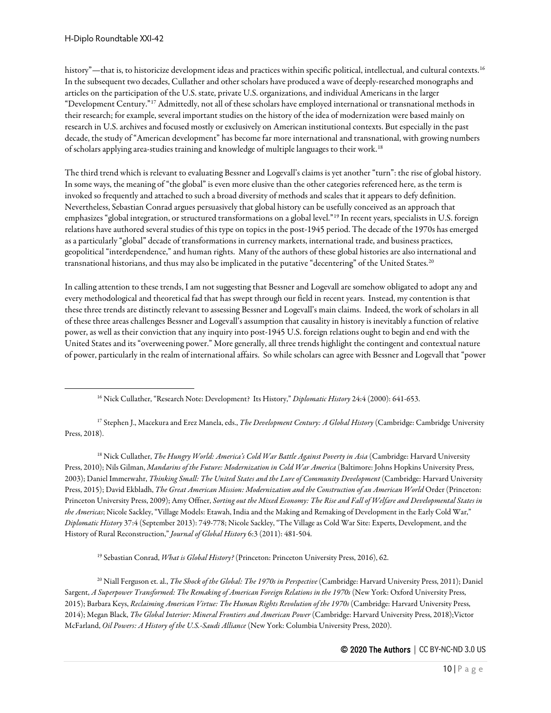history"—that is, to historicize development ideas and practices within specific political, intellectual, and cultural contexts.<sup>[16](#page-9-0)</sup> In the subsequent two decades, Cullather and other scholars have produced a wave of deeply-researched monographs and articles on the participation of the U.S. state, private U.S. organizations, and individual Americans in the larger "Development Century."[17](#page-9-1) Admittedly, not all of thesescholars have employed international or transnational methods in their research; for example, several important studies on the history of the idea of modernization were based mainly on research in U.S. archives and focused mostly or exclusively on American institutional contexts. But especially in the past decade, the study of "American development" has become far more international and transnational, with growing numbers of scholars applying area-studies training and knowledge of multiple languages to their work.<sup>[18](#page-9-2)</sup>

The third trend which is relevant to evaluating Bessner and Logevall's claims is yet another "turn": the rise of global history. In some ways, the meaning of "the global" is even more elusive than the other categories referenced here, as the term is invoked so frequently and attached to such a broad diversity of methods and scales that it appears to defy definition. Nevertheless, Sebastian Conrad argues persuasively that global history can be usefully conceived as an approach that emphasizes "global integration, or structured transformations on a global level."[19](#page-9-3) In recent years, specialists in U.S. foreign relations have authored several studies of this type on topics in the post-1945 period. The decade of the 1970s has emerged as a particularly "global" decade of transformations in currency markets, international trade, and business practices, geopolitical "interdependence," and human rights. Many of the authors of these global histories are also international and transnational historians, and thus may also be implicated in the putative "decentering" of the United States.<sup>20</sup>

In calling attention to these trends, I am not suggesting that Bessner and Logevall are somehow obligated to adopt any and every methodological and theoretical fad that has swept through our field in recent years. Instead, my contention is that these three trends are distinctly relevant to assessing Bessner and Logevall's main claims. Indeed, the work of scholars in all of these three areas challenges Bessner and Logevall's assumption that causality in history is inevitably a function of relative power, as well as their conviction that any inquiry into post-1945 U.S. foreign relations ought to begin and end with the United States and its "overweening power." More generally, all three trends highlight the contingent and contextual nature of power, particularly in the realm of international affairs. So while scholars can agree with Bessner and Logevall that "power

<span id="page-9-1"></span><span id="page-9-0"></span><sup>17</sup> Stephen J., Macekura and Erez Manela, eds., *The Development Century: A Global History* (Cambridge: Cambridge University Press, 2018).

<span id="page-9-2"></span><sup>18</sup> Nick Cullather, *The Hungry World: America's Cold War Battle Against Poverty in Asia* (Cambridge: Harvard University Press, 2010); Nils Gilman, *Mandarins of the Future: Modernization in Cold War America* (Baltimore: Johns Hopkins University Press, 2003); Daniel Immerwahr, *Thinking Small: The United States and the Lure of Community Development* (Cambridge: Harvard University Press, 2015); David Ekbladh, *The Great American Mission: Modernization and the Construction of an American World* Order (Princeton: Princeton University Press, 2009); Amy Offner, *Sorting out the Mixed Economy: The Rise and Fall of Welfare and Developmental States in the Americas*; Nicole Sackley, "Village Models: Etawah, India and the Making and Remaking of Development in the Early Cold War," *Diplomatic History* 37:4 (September 2013): 749-778; Nicole Sackley, "The Village as Cold War Site: Experts, Development, and the History of Rural Reconstruction," *Journal of Global History* 6:3 (2011): 481-504.

<sup>19</sup> Sebastian Conrad, *What is Global History?* (Princeton: Princeton University Press, 2016), 62.

<span id="page-9-4"></span><span id="page-9-3"></span><sup>20</sup> Niall Ferguson et. al., *The Shock of the Global: The 1970s in Perspective* (Cambridge: Harvard University Press, 2011); Daniel Sargent, *A Superpower Transformed: The Remaking of American Foreign Relations in the 1970s* (New York: Oxford University Press, 2015); Barbara Keys, *Reclaiming American Virtue: The Human Rights Revolution of the 1970s* (Cambridge: Harvard University Press, 2014); Megan Black, *The Global Interior: Mineral Frontiers and American Power* (Cambridge: Harvard University Press, 2018);Victor McFarland, *Oil Powers: A History of the U.S.-Saudi Alliance* (New York: Columbia University Press, 2020).

<sup>16</sup> Nick Cullather, "Research Note: Development? Its History," *Diplomatic History* 24:4 (2000): 641-653.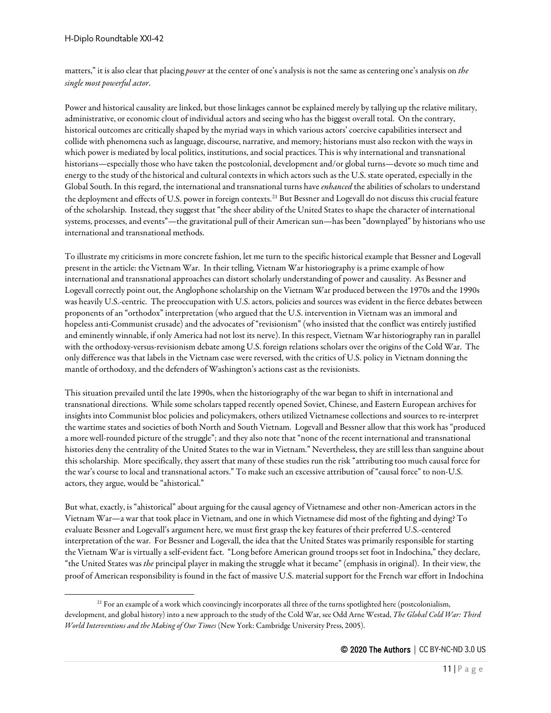matters," it is also clear that placing *power*at the center of one's analysis is not the same as centering one's analysis on *the single most powerful actor*.

Power and historical causality are linked, but those linkages cannot be explained merely by tallying up the relative military, administrative, or economic clout of individual actors and seeing who has the biggest overall total. On the contrary, historical outcomes arecritically shaped by the myriad ways in which various actors' coercive capabilities intersect and collide with phenomena such as language, discourse, narrative, and memory; historians must also reckon with the ways in which power is mediated by local politics, institutions, and social practices. This is why international and transnational historians—especially those who have taken the postcolonial, development and/or global turns—devote so much time and energy to the study of the historical and cultural contexts in which actors such as the U.S. state operated, especially in the Global South. In this regard, the international and transnational turns have *enhanced* the abilities of scholars to understand the deployment and effects of U.S. power in foreign contexts.[21](#page-10-0) But Bessner and Logevall do not discuss this crucial feature of the scholarship. Instead, they suggest that "the sheer ability of the United States to shape the character of international systems, processes, and events"—the gravitational pull of their American sun—has been "downplayed" by historians who use international and transnational methods.

To illustrate my criticisms in more concrete fashion, let me turn to thespecific historical example that Bessner and Logevall present in the article: the Vietnam War. In their telling, Vietnam War historiography is a prime example of how international and transnational approaches can distort scholarly understanding of power and causality. As Bessner and Logevall correctly point out, the Anglophone scholarship on the Vietnam War produced between the 1970s and the 1990s was heavily U.S.-centric. The preoccupation with U.S. actors, policies and sources was evident in the fierce debates between proponents of an "orthodox" interpretation (who argued that the U.S. intervention in Vietnam was an immoral and hopeless anti-Communist crusade) and the advocates of "revisionism" (who insisted that the conflict was entirely justified and eminently winnable, if only America had not lost its nerve). In this respect, Vietnam War historiography ran in parallel with the orthodoxy-versus-revisionism debate among U.S. foreign relations scholars over the origins of the Cold War. The only difference was that labels in the Vietnam case were reversed, with the critics of U.S. policy in Vietnam donning the mantle of orthodoxy, and the defenders of Washington's actions cast as the revisionists.

This situation prevailed until the late 1990s, when the historiography of the war began to shift in international and transnational directions. While some scholars tapped recently opened Soviet, Chinese, and Eastern European archives for insights into Communist bloc policies and policymakers, others utilized Vietnamese collections and sources to re-interpret the wartime states and societies of both North and South Vietnam. Logevall and Bessner allow that this work has "produced a more well-rounded picture of the struggle"; and they also note that "none of the recent international and transnational histories deny the centrality of the United States to the war in Vietnam." Nevertheless, they are still less than sanguine about this scholarship. More specifically, they assert that many of these studies run the risk "attributing too much causal force for the war's course to local and transnational actors." To make such an excessive attribution of "causal force" to non-U.S. actors, they argue, would be "ahistorical."

But what, exactly, is "ahistorical" about arguing for the causal agency of Vietnamese and other non-American actors in the Vietnam War—a war that took place in Vietnam, and one in which Vietnamese did most of the fighting and dying? To evaluate Bessner and Logevall's argument here, we must first grasp the key features of their preferred U.S.-centered interpretation of the war. For Bessner and Logevall, the idea that the United States was primarily responsible for starting the Vietnam War is virtually a self-evident fact. "Long before American ground troops set foot in Indochina," they declare, "the United States was *the* principal player in making the struggle what it became" (emphasis in original). In their view, the proof of American responsibility is found in the fact of massive U.S. material support for the French war effort in Indochina

<span id="page-10-0"></span><sup>&</sup>lt;sup>21</sup> For an example of a work which convincingly incorporates all three of the turns spotlighted here (postcolonialism, development, and global history) into a new approach to the study of the Cold War, see Odd Arne Westad, *The Global Cold War: Third World Interventions and the Making of Our Times* (New York: Cambridge University Press, 2005).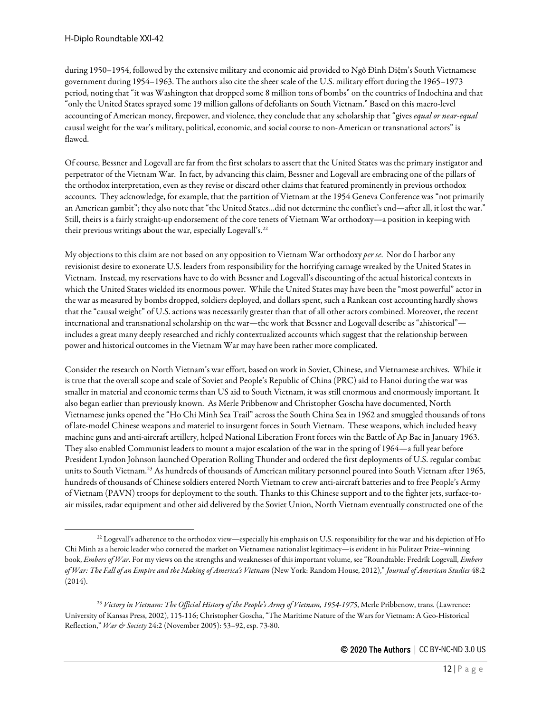during 1950–1954, followed by the extensive military and economic aid provided to Ngô Đình Diệm's South Vietnamese government during 1954–1963. The authors also cite the sheer scale of the U.S. military effort during the 1965–1973 period, noting that "it was Washington that dropped some 8 million tons of bombs" on the countries of Indochina and that "only the United States sprayed some 19 million gallons of defoliants on South Vietnam." Based on this macro-level accounting of American money, firepower, and violence, they conclude that any scholarship that "gives *equal or near-equal* causal weight for the war's military, political, economic, and social course to non-American or transnational actors" is flawed.

Of course, Bessner and Logevall are far from the first scholars to assert that the United States was the primary instigator and perpetrator of the Vietnam War. In fact, by advancing this claim, Bessner and Logevall are embracing one of the pillars of the orthodox interpretation, even as they revise or discard other claims that featured prominently in previous orthodox accounts. They acknowledge, for example, that the partition of Vietnam at the 1954 Geneva Conference was "not primarily an American gambit"; they also note that "the United States...did not determine the conflict's end—after all, it lost the war." Still, theirs is a fairly straight-up endorsement of the core tenets of Vietnam War orthodoxy—a position in keeping with their previous writings about the war, especially Logevall's.<sup>[22](#page-11-0)</sup>

My objections to this claim are not based on any opposition to Vietnam War orthodoxy *per se*. Nor do I harborany revisionist desire to exonerate U.S. leaders from responsibility for the horrifying carnage wreaked by the United States in Vietnam. Instead, my reservations have to do with Bessner and Logevall's discounting of the actual historical contexts in which the United States wielded its enormous power. While the United States may have been the "most powerful" actor in the war as measured by bombs dropped, soldiers deployed, and dollars spent, such a Rankean cost accounting hardly shows that the "causal weight" of U.S. actions was necessarily greater than that of all other actors combined. Moreover, the recent international and transnational scholarship on the war—the work that Bessner and Logevall describe as "ahistorical" includes a great many deeply researched and richly contextualized accounts which suggest that the relationship between power and historical outcomes in the Vietnam War may have been rather more complicated.

Consider the research on North Vietnam's war effort, based on work in Soviet, Chinese, and Vietnamese archives. While it is true that the overall scope and scale of Soviet and People's Republic of China (PRC) aid to Hanoi during the war was smaller in material and economic terms than US aid to South Vietnam, it was still enormous and enormously important. It also began earlier than previously known. As Merle Pribbenow and Christopher Goscha have documented, North Vietnamese junks opened the "Ho Chi Minh Sea Trail"across the South China Seain 1962 and smuggled thousands of tons of late-model Chinese weapons and materiel to insurgent forces in South Vietnam. These weapons, which included heavy machine guns and anti-aircraft artillery, helped National Liberation Front forces win the Battle of Ap Bac in January 1963. They also enabled Communist leaders to mount a major escalation of the war in the spring of 1964—a full year before President Lyndon Johnson launched Operation Rolling Thunder and ordered the first deployments of U.S. regular combat units to South Vietnam.<sup>[23](#page-11-1)</sup> As hundreds of thousands of American military personnel poured into South Vietnam after 1965, hundreds of thousands of Chinese soldiers entered North Vietnam to crew anti-aircraft batteries and to free People's Army of Vietnam (PAVN) troops for deployment to the south. Thanks to this Chinese support and to the fighter jets, surface-toair missiles, radar equipment and other aid delivered by the Soviet Union, North Vietnam eventually constructed one of the

<span id="page-11-0"></span><sup>&</sup>lt;sup>22</sup> Logevall's adherence to the orthodox view—especially his emphasis on U.S. responsibility for the war and his depiction of Ho Chi Minh as a heroic leader who cornered the market on Vietnamese nationalist legitimacy—is evident in his Pulitzer Prize–winning book, *Embers of War*. For my views on the strengths and weaknesses of this important volume, see "Roundtable: Fredrik Logevall, *Embers of War: The Fall of an Empire and the Making of America's Vietnam* (New York: Random House, 2012)," *Journal of American Studies* 48:2 (2014).

<span id="page-11-1"></span><sup>&</sup>lt;sup>23</sup> Victory in Vietnam: The Official History of the People's Army of Vietnam, 1954-1975, Merle Pribbenow, trans. (Lawrence: University of Kansas Press, 2002), 115-116; Christopher Goscha, "The Maritime Nature of the Wars for Vietnam: A Geo-Historical Reflection," *War & Society* 24:2 (November 2005): 53–92, esp. 73-80.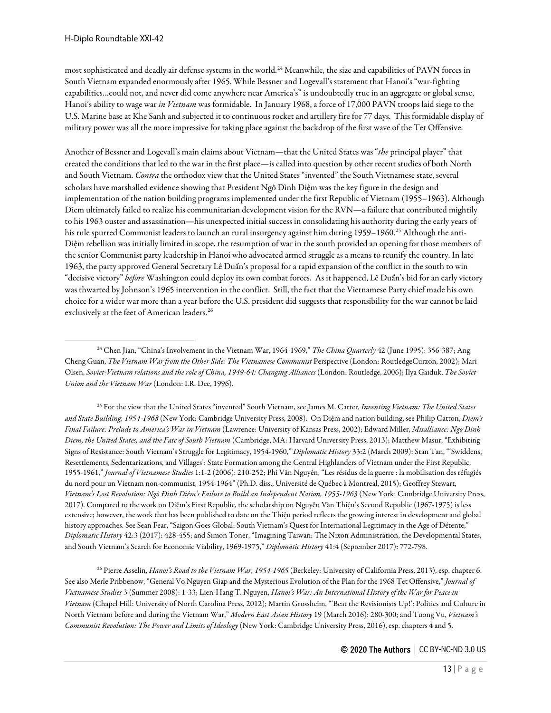most sophisticated and deadly air defense systems in the world.[24](#page-12-0) Meanwhile, the size and capabilities of PAVN forces in South Vietnam expanded enormously after 1965. While Bessner and Logevall's statement that Hanoi's "war-fighting capabilities…could not, and never did come anywhere near America's" is undoubtedly true in an aggregate or global sense, Hanoi's ability to wage war *in Vietnam* was formidable. In January 1968, a force of 17,000 PAVN troops laid siege to the U.S. Marine base at Khe Sanh and subjected it to continuous rocket and artillery fire for 77 days. This formidable display of military power was all the more impressive for taking place against the backdrop of the first wave of the Tet Offensive.

Another of Bessner and Logevall's main claims about Vietnam—that the United States was "*the* principal player" that created the conditions that led to the war in the first place—is called into question by other recent studies of both North and South Vietnam. *Contra* the orthodox view that the United States "invented" the South Vietnamese state, several scholars have marshalled evidence showing that President Ngô Đình Diệm was the key figure in the design and implementation of the nation building programs implemented under the first Republic of Vietnam (1955–1963). Although Diem ultimately failed to realize his communitarian development vision for the RVN—a failure that contributed mightily to his 1963 ouster and assassination—his unexpected initial success in consolidating his authority during the early years of his rule spurred Communist leaders to launch an rural insurgency against him during 1959–1960.<sup>[25](#page-12-1)</sup> Although the anti-Diệm rebellion was initially limited in scope, the resumption of war in the south provided an opening for those members of the senior Communist party leadership in Hanoi who advocated armed struggle as a means to reunify the country. In late 1963, the party approved General Secretary Lê Duẩn's proposal for a rapid expansion of the conflict in the south to win "decisive victory" *before* Washington could deploy its own combat forces. As it happened, Lê Duẩn's bid for an early victory was thwarted by Johnson's 1965 intervention in the conflict. Still, the fact that the Vietnamese Party chief made his own choice for a wider war more than a year before the U.S. president did suggests that responsibility for the war cannot be laid exclusively at the feet of American leaders.<sup>[26](#page-12-2)</sup>

<span id="page-12-1"></span><sup>25</sup> For the view that the United States "invented" South Vietnam, see James M. Carter, *Inventing Vietnam: The United States and State Building, 1954-1968* (New York: Cambridge University Press, 2008). On Diệm and nation building, see Philip Catton, *Diem's Final Failure: Prelude to America's War in Vietnam* (Lawrence: University of Kansas Press, 2002); Edward Miller, *Misalliance: Ngo Dinh Diem, the United States, and the Fate of South Vietnam* (Cambridge, MA: Harvard University Press, 2013); Matthew Masur, "Exhibiting Signs of Resistance: South Vietnam's Struggle for Legitimacy, 1954-1960," *Diplomatic History* 33:2 (March 2009): Stan Tan, "'Swiddens, Resettlements, Sedentarizations, and Villages': State Formation among the Central Highlanders of Vietnam under the First Republic, 1955-1961," *Journal of Vietnamese Studies* 1:1-2 (2006): 210-252; Phi Vân Nguyên, "Les résidus de la guerre : la mobilisation des réfugiés du nord pour un Vietnam non-communist, 1954-1964" (Ph.D. diss., Université de Québec à Montreal, 2015); Geoffrey Stewart, *Vietnam's Lost Revolution: Ngô Đình Diệm's Failure to Build an Independent Nation, 1955*-*1963* (New York: Cambridge University Press, 2017). Compared to the work on Diệm's First Republic, the scholarship on Nguyễn Văn Thiệu's Second Republic (1967-1975) is less extensive; however, the work that has been published to date on the Thiệu period reflects the growing interest in development and global history approaches. See Sean Fear, "Saigon Goes Global: South Vietnam's Quest for International Legitimacy in the Age of Détente," *Diplomatic History* 42:3 (2017): 428-455; and Simon Toner, "Imagining Taiwan: The Nixon Administration, the Developmental States, and South Vietnam's Search for Economic Viability, 1969-1975," *Diplomatic History* 41:4 (September 2017): 772-798.

<span id="page-12-2"></span><sup>26</sup> Pierre Asselin, *Hanoi's Road to the Vietnam War, 1954*-*1965* (Berkeley: University of California Press, 2013), esp. chapter 6. See also Merle Pribbenow, "General Vo Nguyen Giap and the Mysterious Evolution of the Plan for the 1968 Tet Offensive," *Journal of Vietnamese Studies* 3 (Summer 2008): 1-33; Lien-Hang T. Nguyen, *Hanoi's War: An International History of the War for Peace in Vietnam* (Chapel Hill: University of North Carolina Press, 2012); Martin Grossheim, "'Beat the Revisionists Up!': Politics and Culture in North Vietnam before and during the Vietnam War," *Modern East Asian History* 19 (March 2016): 280-300; and Tuong Vu, *Vietnam's Communist Revolution: The Power and Limits of Ideology* (New York: Cambridge University Press, 2016), esp. chapters 4 and 5.

<span id="page-12-0"></span><sup>&</sup>lt;sup>24</sup> Chen Jian, "China's Involvement in the Vietnam War, 1964-1969," *The China Quarterly* 42 (June 1995): 356-387; Ang Cheng Guan, *The Vietnam War from the Other Side: The Vietnamese Communist Perspective (London: RoutledgeCurzon, 2002)*; Mari Olsen, *Soviet-Vietnam relations and the role of China, 1949-64: Changing Alliances* (London: Routledge, 2006); Ilya Gaiduk, *The Soviet Union and the Vietnam War* (London: I.R. Dee, 1996).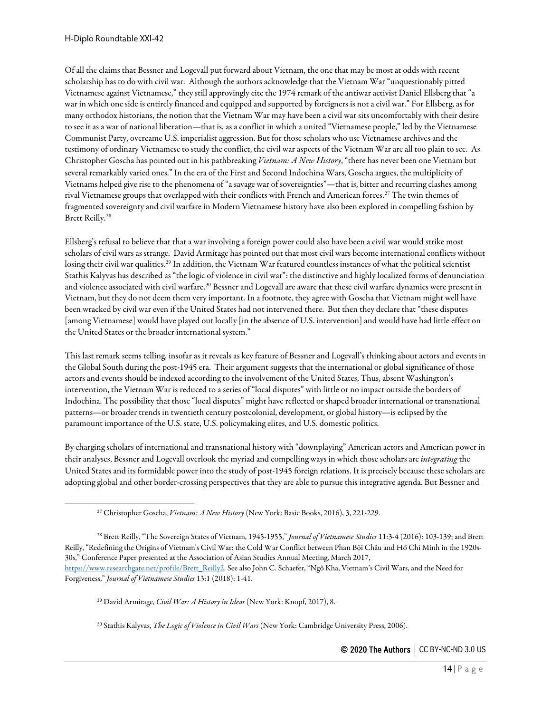Of all the claims that Bessner and Logevall put forward about Vietnam, the one that may be most at odds with recent scholarship has to do with civil war. Although the authors acknowledge that the Vietnam War "unquestionably pitted Vietnamese against Vietnamese," they still approvingly cite the 1974 remark of the antiwar activist Daniel Ellsberg that "a war in which one side is entirely financed and equipped and supported by foreigners is not a civil war." For Ellsberg, as for many orthodox historians, the notion that the Vietnam War may have been a civil war sits uncomfortably with their desire to see it as a war of national liberation—that is, as a conflict in which a united "Vietnamese people," led by the Vietnamese Communist Party, overcame U.S. imperialist aggression. But for those scholars who use Vietnamese archives and the testimony of ordinary Vietnameseto study the conflict, the civil war aspects of the Vietnam War are all too plain to see. As Christopher Goscha has pointed out in his pathbreaking *Vietnam: A New History*, "there has never been one Vietnam but several remarkably varied ones." In the era of the First and Second Indochina Wars, Goscha argues, the multiplicity of Vietnams helped give rise to the phenomena of "a savage war of sovereignties"—that is, bitter and recurring clashes among rival Vietnamese groups that overlapped with their conflicts with French and American forces.[27](#page-13-0) The twin themes of fragmented sovereignty and civil warfare in Modern Vietnamese history havealso been explored in compelling fashion by Brett Reilly. [28](#page-13-1)

Ellsberg's refusal to believe that that a war involving a foreign power could also have been a civil war would strike most scholars of civil wars as strange. David Armitage has pointed out that most civil wars become international conflicts without losing their civil war qualities.<sup>[29](#page-13-2)</sup> In addition, the Vietnam War featured countless instances of what the political scientist Stathis Kalyvas has described as "the logic of violence in civil war": the distinctive and highly localized forms of denunciation and violence associated with civil warfare.<sup>[30](#page-13-3)</sup> Bessner and Logevall are aware that these civil warfare dynamics were present in Vietnam, but they do not deem them very important. In a footnote, they agree with Goschathat Vietnam might well have been wracked by civil war even if the United States had not intervened there. But then they declare that "these disputes [among Vietnamese] would have played out locally [in the absence of U.S. intervention] and would have had little effect on the United States or the broader international system."

This last remark seems telling, insofar as it reveals as key feature of Bessner and Logevall's thinking about actors and events in the Global South during the post-1945 era. Their argument suggests that the international or global significance of those actors and events should be indexed according to the involvement of the United States, Thus, absent Washington's intervention, the Vietnam War is reduced to a series of "local disputes" with little or no impact outside the borders of Indochina. The possibility that those "local disputes" might have reflected or shaped broader international or transnational patterns—or broader trends in twentieth century postcolonial, development, or global history—is eclipsed by the paramount importance of the U.S. state, U.S. policymaking elites, and U.S. domestic politics.

By charging scholars of international and transnational history with "downplaying" American actors and American power in their analyses, Bessner and Logevall overlook the myriad and compelling ways in which those scholars are *integrating* the United States and its formidable power into the study of post-1945 foreign relations. It is precisely because these scholars are adopting global and other border-crossing perspectives that they are able to pursue this integrative agenda. But Bessner and

<sup>29</sup> David Armitage, *Civil War: A History in Ideas* (New York: Knopf, 2017), 8.

<span id="page-13-3"></span><sup>30</sup> Stathis Kalyvas, *The Logic of Violence in Civil Wars* (New York: Cambridge University Press, 2006).

<sup>27</sup> Christopher Goscha, *Vietnam: A New History* (New York: Basic Books, 2016), 3, 221-229.

<span id="page-13-2"></span><span id="page-13-1"></span><span id="page-13-0"></span><sup>28</sup> Brett Reilly, "The Sovereign States of Vietnam, 1945-1955," *Journal of Vietnamese Studies* 11:3-4 (2016): 103-139; and Brett Reilly, "Redefining the Origins of Vietnam's Civil War: the Cold War Conflict between Phan Bội Châu and Hồ Chí Minh in the 1920s-30s," Conference Paper presented at the Association of Asian Studies Annual Meeting, March 2017, [https://www.researchgate.net/profile/Brett\\_Reilly2.](https://www.researchgate.net/profile/Brett_Reilly2) See also John C. Schaefer, "Ngô Kha, Vietnam's Civil Wars, and the Need for Forgiveness," *Journal of Vietnamese Studies* 13:1 (2018): 1-41.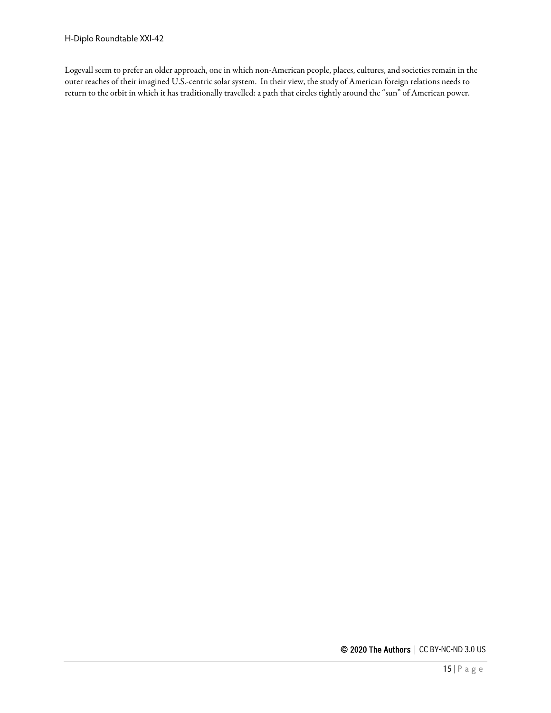Logevall seem to prefer an older approach, one in which non-American people, places, cultures, and societies remain in the outer reaches of their imagined U.S.-centric solar system. In their view, the study of American foreign relations needs to return to the orbit in which it has traditionally travelled: a path that circles tightly around the "sun" of American power.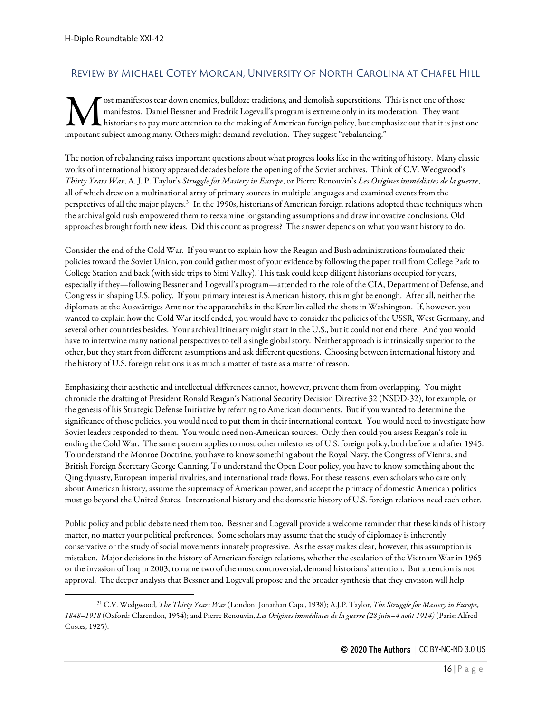## <span id="page-15-0"></span>Review by Michael Cotey Morgan, University of North Carolina at Chapel Hill

ost manifestos tear down enemies, bulldoze traditions, and demolish superstitions. This is not one of those manifestos. Daniel Bessner and Fredrik Logevall's program is extreme only in its moderation. They want  $\sf L$  historians to pay more attention to the making of American foreign policy, but emphasize out that it is just one **important subject** among many. Others might demand revolutions, and demolish superstitions.<br> **M** manifestos. Daniel Bessner and Fredrik Logevall's program is extreme only in its mo<br>
important subject among many. Others mi

The notion of rebalancing raises important questions about what progress looks like in the writing of history. Many classic works of international history appeared decades before the opening of the Soviet archives. Think of C.V. Wedgwood's *Thirty Years War*, A. J. P. Taylor's *Struggle for Mastery in Europe*, or Pierre Renouvin's *Les Origines immédiates de la guerre*, all of which drew on a multinational array of primary sources in multiple languages and examined events from the perspectives of all the major players.[31](#page-15-1) In the 1990s, historians of American foreign relations adopted these techniques when the archival gold rush empowered them to reexamine longstanding assumptions and draw innovative conclusions. Old approaches brought forth new ideas. Did this count as progress? The answer depends on what you want history to do.

Consider the end of the Cold War. If you want to explain how the Reagan and Bush administrations formulated their policies toward the Soviet Union, you could gather most of your evidence by following the paper trail from College Park to College Station and back (with side trips to Simi Valley). This task could keep diligent historians occupied for years, especially if they—following Bessner and Logevall's program—attended to the role of the CIA, Department of Defense, and Congress in shaping U.S. policy. If your primary interest is American history, this might be enough. After all, neither the diplomats at the Auswärtiges Amt nor the apparatchiks in the Kremlin called the shots in Washington. If, however, you wanted to explain how the Cold War itself ended, you would have to consider the policies of the USSR, West Germany, and several other countries besides. Your archival itinerary might start in the U.S., but it could not end there. And you would have to intertwine many national perspectives to tell a single global story. Neither approach is intrinsically superior to the other, but they start from different assumptions and ask different questions. Choosing between international history and the history of U.S. foreign relations is as much a matter of taste as a matter of reason.

Emphasizing their aesthetic and intellectual differences cannot, however, prevent them from overlapping. You might chronicle the drafting of President Ronald Reagan's National Security Decision Directive 32 (NSDD-32), for example, or the genesis of his Strategic Defense Initiative by referring to American documents. But if you wanted to determine the significance of those policies, you would need to put them in their international context. You would need to investigate how Soviet leaders responded to them. You would need non-American sources. Only then could you assess Reagan's role in ending the Cold War. The same pattern applies to most other milestones of U.S. foreign policy, both before and after 1945. To understand the Monroe Doctrine, you have to know something about the Royal Navy, the Congress of Vienna, and British Foreign Secretary George Canning. To understand the Open Door policy, you have to know something about the Qing dynasty, European imperial rivalries, and international trade flows. For these reasons, even scholars who care only about American history, assume the supremacy of American power, and accept the primacy of domestic American politics must go beyond the United States. International history and the domestic history of U.S. foreign relations need each other.

Public policy and public debate need them too. Bessner and Logevall provide a welcome reminder that these kinds of history matter, no matter your political preferences. Some scholars may assume that the study of diplomacy is inherently conservative or the study of social movements innately progressive. As theessay makes clear, however, this assumption is mistaken. Major decisions in the history of American foreign relations, whether the escalation of the Vietnam War in 1965 or the invasion of Iraq in 2003, to name two of the most controversial, demand historians'attention. But attention is not approval. The deeper analysis that Bessner and Logevall propose and the broader synthesis that they envision will help

<span id="page-15-1"></span><sup>31</sup> C.V. Wedgwood, *The Thirty Years War* (London: Jonathan Cape, 1938); A.J.P. Taylor, *The Struggle for Mastery in Europe, 1848–1918* (Oxford: Clarendon, 1954); and Pierre Renouvin, *Les Origines immédiates de la guerre (28 juin–4 août 1914)* (Paris: Alfred Costes, 1925).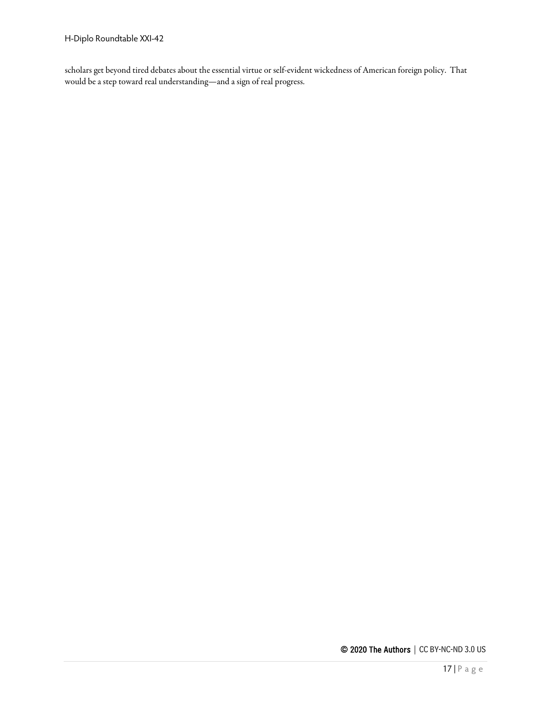scholars get beyond tired debates about the essential virtue or self-evident wickedness of American foreign policy. That would be a step toward real understanding—and a sign of real progress.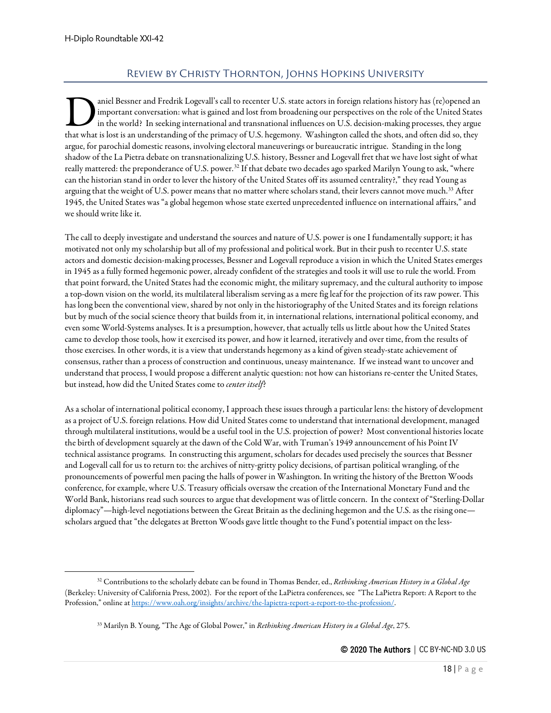## Review by Christy Thornton, Johns Hopkins University

<span id="page-17-0"></span>aniel Bessner and Fredrik Logevall's call to recenter U.S. state actors in foreign relations history has (re)opened an important conversation: what is gained and lost from broadening our perspectives on the role of the United States in the world? In seeking international and transnational influences on U.S. decision-making processes, they argue aniel Bessner and Fredrik Logevall's call to recenter U.S. state actors in foreign relations history has (re)opened an important conversation: what is gained and lost from broadening our perspectives on the role of the Uni argue, for parochial domestic reasons, involving electoral maneuverings or bureaucratic intrigue. Standing in the long shadow of the La Pietra debate on transnationalizing U.S. history, Bessner and Logevall fret that we have lost sight of what really mattered: the preponderance of U.S. power.<sup>[32](#page-17-1)</sup> If that debate two decades ago sparked Marilyn Young to ask, "where can the historian stand in order to lever the history of the United States off its assumed centrality?," they read Young as arguing that the weight of U.S. power means that no matter where scholars stand, their levers cannot move much.<sup>[33](#page-17-2)</sup> After 1945, the United States was "a global hegemon whose state exerted unprecedented influence on international affairs," and we should write like it.

The call to deeply investigate and understand the sources and nature of U.S. power is one I fundamentally support; it has motivated not only my scholarship but all of my professional and political work. But in their push to recenter U.S. state actors and domestic decision-making processes, Bessner and Logevall reproduce a vision in which the United States emerges in 1945 as a fully formed hegemonic power, already confident of the strategies and tools it will use to rule the world. From that point forward, the United States had the economic might, the military supremacy, and the cultural authority to impose a top-down vision on the world, its multilateral liberalism serving as a mere fig leaf for the projection of its raw power. This has long been the conventional view, shared by not only in the historiography of the United States and its foreign relations but by much of the social science theory that builds from it, in international relations, international political economy, and even some World-Systems analyses. It is a presumption, however, that actually tells us little about how the United States came to develop those tools, how it exercised its power, and how it learned, iteratively and over time, from the results of those exercises. In other words, it is a view that understands hegemony as a kind of given steady-state achievement of consensus, rather than a process of construction and continuous, uneasy maintenance. If we instead want to uncover and understand that process, I would propose a different analytic question: not how can historians re-center the United States, but instead, how did the United States come to *center itself*?

As a scholar of international political economy, I approach these issues through a particular lens: the history of development as a project of U.S. foreign relations. How did United States come to understand that international development, managed through multilateral institutions, would be a useful tool in the U.S. projection of power? Most conventional histories locate the birth of development squarely at the dawn of the Cold War, with Truman's 1949 announcement of his Point IV technical assistance programs. In constructing this argument, scholars for decades used precisely the sources that Bessner and Logevall call for us to return to: the archives of nitty-gritty policy decisions, of partisan political wrangling, of the pronouncements of powerful men pacing the halls of power in Washington. In writing the history of the Bretton Woods conference, for example, where U.S. Treasury officials oversaw the creation of the International Monetary Fund and the World Bank, historians read such sources to argue that development was of little concern. In the context of "Sterling-Dollar diplomacy"—high-level negotiations between the Great Britain as the declining hegemon and the U.S. as the rising one scholars argued that "the delegates at Bretton Woods gave little thought to the Fund's potential impact on the less-

<span id="page-17-2"></span><span id="page-17-1"></span><sup>32</sup> Contributions to the scholarly debate can be found in Thomas Bender, ed., *Rethinking American History in a Global Age* (Berkeley: University of California Press, 2002). For the report of the LaPietra conferences, see "The LaPietra Report: A Report to the Profession," online a[t https://www.oah.org/insights/archive/the-lapietra-report-a-report-to-the-profession/.](https://www.oah.org/insights/archive/the-lapietra-report-a-report-to-the-profession/) 

<sup>33</sup> Marilyn B. Young, "The Age of Global Power," in *Rethinking American History in a Global Age*, 275.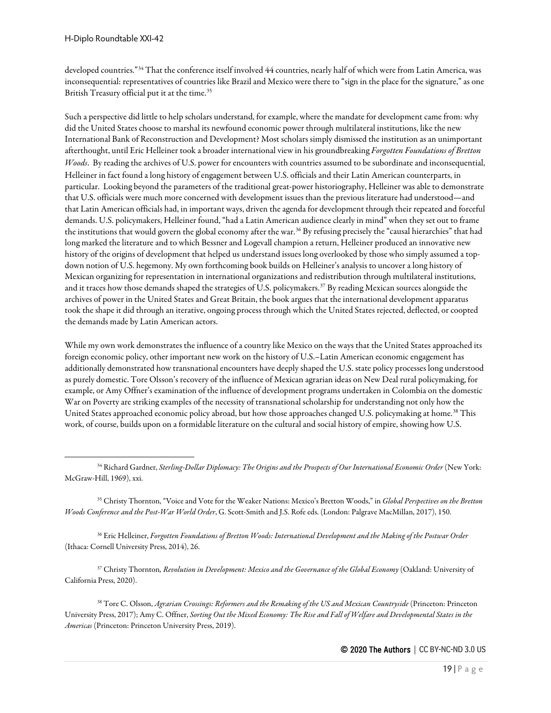developed countries."[34](#page-18-0) That the conference itself involved 44 countries, nearly half of which were from Latin America, was inconsequential: representatives of countries like Brazil and Mexico were there to "sign in the place for the signature," as one British Treasury official put it at the time.<sup>[35](#page-18-1)</sup>

Such a perspective did little to help scholars understand, for example, where the mandate for development came from: why did the United States choose to marshal its newfound economic power through multilateral institutions, like the new International Bank of Reconstruction and Development? Most scholars simply dismissed the institution as an unimportant afterthought, until Eric Helleiner took a broader international view in his groundbreaking *Forgotten Foundations of Bretton Woods*. By reading the archives of U.S. power for encounters with countries assumed to be subordinate and inconsequential, Helleiner in fact found a long history of engagement between U.S. officials and their Latin American counterparts, in particular. Looking beyond the parameters of the traditional great-power historiography, Helleiner was able to demonstrate that U.S. officials were much more concerned with development issues than the previous literature had understood—and that Latin American officials had, in important ways, driven the agenda for development through their repeated and forceful demands. U.S. policymakers, Helleiner found, "had a Latin American audience clearly in mind" when they set out to frame the institutions that would govern the global economy after the war.[36](#page-18-2) By refusing precisely the "causal hierarchies" that had long marked the literature and to which Bessner and Logevall champion a return, Helleiner produced an innovative new history of the origins of development that helped us understand issues long overlooked by those who simply assumed a topdown notion of U.S. hegemony. My own forthcoming book builds on Helleiner's analysis to uncover a long history of Mexican organizing for representation in international organizations and redistribution through multilateral institutions, and it traces how those demands shaped the strategies of U.S. policymakers.<sup>[37](#page-18-3)</sup> By reading Mexican sources alongside the archives of power in the United States and Great Britain, the book argues that the international development apparatus took the shape it did through an iterative, ongoing process through which the United States rejected, deflected, or coopted the demands made by Latin American actors.

While my own work demonstrates the influence of a country like Mexico on the ways that the United States approached its foreign economic policy, other important new work on the history of U.S.–Latin American economic engagement has additionally demonstrated how transnational encounters have deeply shaped the U.S. state policy processes long understood as purely domestic. Tore Olsson's recovery of the influence of Mexican agrarian ideas on New Deal rural policymaking, for example, or Amy Offner's examination of the influence of development programs undertaken in Colombia on the domestic War on Poverty are striking examples of the necessity of transnational scholarship for understanding not only how the United States approached economic policy abroad, but how those approaches changed U.S. policymaking at home.<sup>[38](#page-18-4)</sup> This work, of course, builds upon on a formidable literature on the cultural and social history of empire, showing how U.S.

<span id="page-18-1"></span><sup>35</sup> Christy Thornton, "Voice and Vote for the Weaker Nations: Mexico's Bretton Woods," in *Global Perspectives on the Bretton Woods Conference and the Post-War World Order*, G. Scott-Smith and J.S. Rofe eds. (London: Palgrave MacMillan, 2017), 150.

<span id="page-18-2"></span><sup>36</sup> Eric Helleiner, *Forgotten Foundations of Bretton Woods: International Development and the Making of the Postwar Order* (Ithaca: Cornell University Press, 2014), 26.

<span id="page-18-3"></span><sup>37</sup> Christy Thornton*, Revolution in Development: Mexico and the Governance of the Global Economy* (Oakland: University of California Press, 2020).

<span id="page-18-4"></span><sup>38</sup> Tore C. Olsson, *Agrarian Crossings: Reformers and the Remaking of the US and Mexican Countryside* (Princeton: Princeton University Press, 2017); Amy C. Offner, *Sorting Out the Mixed Economy: The Rise and Fall of Welfare and Developmental States in the Americas* (Princeton: Princeton University Press, 2019).

<span id="page-18-0"></span><sup>34</sup> Richard Gardner, *Sterling-Dollar Diplomacy: The Origins and the Prospects of Our International Economic Order* (New York: McGraw-Hill, 1969), xxi.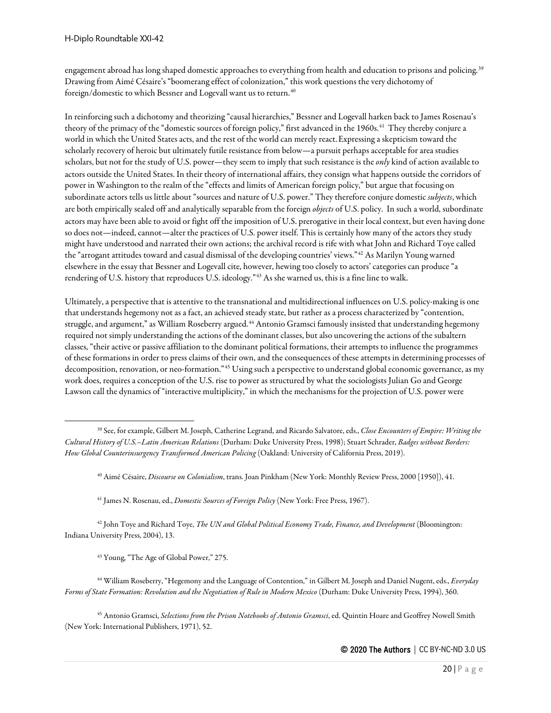engagement abroad has long shaped domestic approaches to everything from health and education to prisons and policing.<sup>[39](#page-19-0)</sup> Drawing from Aimé Césaire's "boomerang effect of colonization," this work questions the very dichotomy of foreign/domestic to which Bessner and Logevall want us to return.<sup>[40](#page-19-1)</sup>

In reinforcing such a dichotomy and theorizing "causal hierarchies," Bessner and Logevall harken back to James Rosenau's theory of the primacy of the "domestic sources of foreign policy," first advanced in the 1960s.<sup>41</sup> They thereby conjure a world in which the United States acts, and the rest of the world can merely react.Expressing a skepticism toward the scholarly recovery of heroic but ultimately futile resistance from below—a pursuit perhaps acceptable for area studies scholars, but not for the study of U.S. power—they seem to imply that such resistance is the *only* kind of action available to actors outside the United States. In their theory of international affairs, they consign what happens outside the corridors of power in Washington to the realm of the "effects and limits of American foreign policy," but argue that focusing on subordinate actors tells us little about "sources and nature of U.S. power." They therefore conjure domestic *subjects*, which are both empirically sealed off and analytically separable from the foreign *objects* of U.S. policy. In such a world, subordinate actors may have been able to avoid or fight off the imposition of U.S. prerogative in their local context, but even having done so does not—indeed, cannot—alter the practices of U.S. power itself. This is certainly how many of the actors they study might have understood and narrated their own actions; the archival record is rife with what John and Richard Toye called the "arrogant attitudes toward and casual dismissal of the developing countries' views."[42](#page-19-3) As Marilyn Young warned elsewhere in the essay that Bessner and Logevall cite, however, hewing too closely to actors' categories can produce"a rendering of U.S. history that reproduces U.S. ideology."[43](#page-19-4) As she warned us, this is a fine line to walk.

Ultimately, a perspective that is attentive to the transnational and multidirectional influences on U.S. policy-making is one that understands hegemony not as a fact, an achieved steady state, but rather as a process characterized by "contention, struggle, and argument," as William Roseberry argued.<sup>[44](#page-19-5)</sup> Antonio Gramsci famously insisted that understanding hegemony required not simply understanding the actions of the dominant classes, but also uncovering the actions of the subaltern classes, "their active or passive affiliation to the dominant political formations, their attempts to influence the programmes of these formations in order to press claims of their own, and the consequences of these attempts in determining processes of decomposition, renovation, or neo-formation."[45](#page-19-6) Using such a perspective to understand global economic governance, as my work does, requires a conception of the U.S. rise to power as structured by what the sociologists Julian Go and George Lawson call the dynamics of "interactive multiplicity," in which the mechanisms for the projection of U.S. power were

<sup>40</sup> Aimé Césaire, *Discourse on Colonialism*, trans. Joan Pinkham (New York: Monthly Review Press, 2000 [1950]), 41.

<sup>41</sup> James N. Rosenau, ed., *Domestic Sources of Foreign Policy* (New York: Free Press, 1967).

<span id="page-19-3"></span><span id="page-19-2"></span><sup>42</sup> John Toye and Richard Toye, *The UN and Global Political Economy Trade, Finance, and Development* (Bloomington: Indiana University Press, 2004), 13.

<sup>43</sup> Young, "The Age of Global Power," 275.

<span id="page-19-5"></span><span id="page-19-4"></span><sup>44</sup> William Roseberry, "Hegemony and the Language of Contention," in Gilbert M. Joseph and Daniel Nugent, eds., *Everyday Forms of State Formation: Revolution and the Negotiation of Rule in Modern Mexico* (Durham: Duke University Press, 1994), 360.

<span id="page-19-6"></span><sup>45</sup> Antonio Gramsci, *Selections from the Prison Notebooks of Antonio Gramsci*, ed. Quintin Hoare and Geoffrey Nowell Smith (New York: International Publishers, 1971), 52.

<span id="page-19-1"></span><span id="page-19-0"></span><sup>39</sup> See, for example, Gilbert M. Joseph, Catherine Legrand, and Ricardo Salvatore, eds., *Close Encounters of Empire: Writing the Cultural History of U.S.–Latin American Relations* (Durham: Duke University Press, 1998); Stuart Schrader, *Badges without Borders: How Global Counterinsurgency Transformed American Policing* (Oakland: University of California Press, 2019).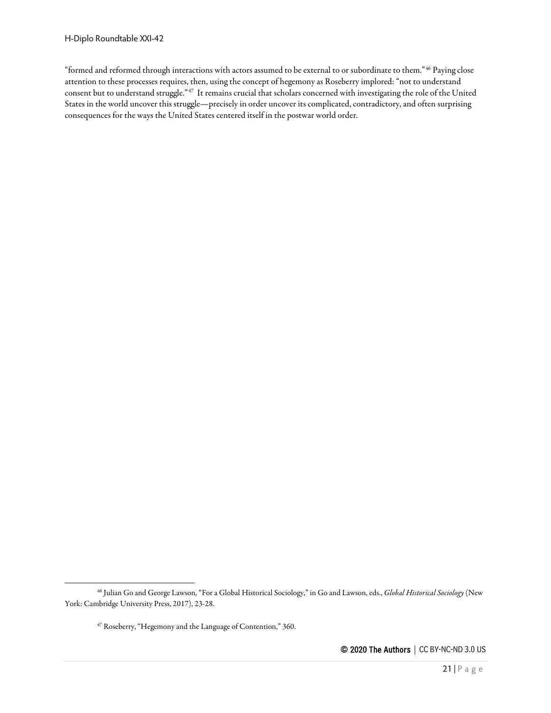"formed and reformed through interactions with actors assumed to be external to or subordinate to them."[46](#page-20-0) Paying close attention to these processes requires, then, using the concept of hegemony as Roseberry implored: "not to understand consent but to understand struggle."[47](#page-20-1) It remains crucial that scholars concerned with investigating the role of the United States in the world uncover this struggle—precisely in order uncover its complicated, contradictory, and often surprising consequences for the ways the United States centered itself in the postwar world order.

<span id="page-20-1"></span><span id="page-20-0"></span><sup>46</sup> Julian Go and George Lawson, "For a Global Historical Sociology," in Go and Lawson, eds., *Global Historical Sociology* (New York: Cambridge University Press, 2017), 23-28.

<sup>47</sup> Roseberry, "Hegemony and the Language of Contention," 360.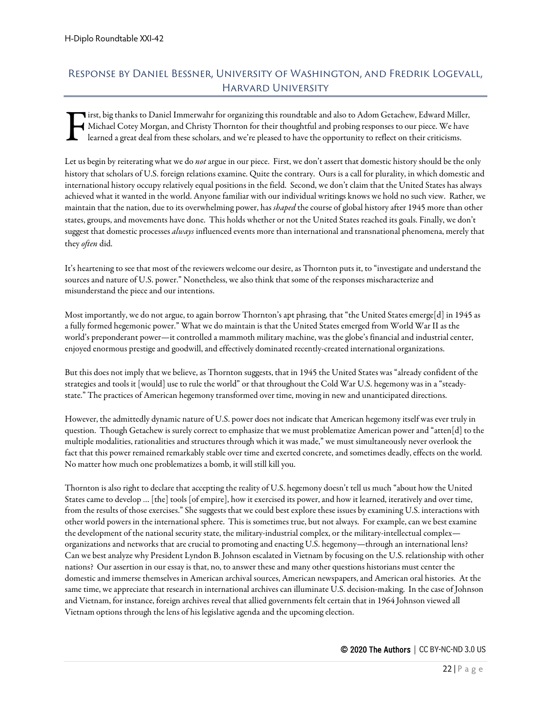# <span id="page-21-0"></span>Response by Daniel Bessner, University of Washington, and Fredrik Logevall, Harvard University

irst, big thanks to Daniel Immerwahr for organizing this roundtable and also to Adom Getachew, Edward Miller, Michael Cotey Morgan, and Christy Thornton for their thoughtful and probing responses to our piece. We have learned a great deal from these scholars, and we're pleased to have the opportunity to reflect on their criticisms. F

Let us begin by reiterating what we do *not* argue in our piece. First, we don't assert that domestic history should be the only history that scholars of U.S. foreign relations examine. Quite the contrary. Ours is a call for plurality, in which domestic and international history occupy relatively equal positions in the field. Second, we don't claim that the United States has always achieved what it wanted in the world. Anyone familiar with our individual writings knows we hold no such view. Rather, we maintain that the nation, due to its overwhelming power, has *shaped* the course of global history after 1945 more than other states, groups, and movements have done. This holds whether or not the United States reached its goals. Finally, we don't suggest that domestic processes *always* influenced events more than international and transnational phenomena, merely that they *often* did.

It's heartening to see that most of the reviewers welcome our desire, as Thornton puts it, to "investigate and understand the sources and nature of U.S. power." Nonetheless, we also think that some of the responses mischaracterize and misunderstand the piece and our intentions.

Most importantly, we do not argue, to again borrow Thornton's apt phrasing, that "the United States emerge[d] in 1945 as a fully formed hegemonic power." What we do maintain is that the United States emerged from World War II as the world's preponderant power—it controlled a mammoth military machine, was the globe's financial and industrial center, enjoyed enormous prestige and goodwill, and effectively dominated recently-created international organizations.

But this does not imply that we believe, as Thornton suggests, that in 1945 the United States was "already confident of the strategies and tools it [would] use to rule the world" or that throughout the Cold War U.S. hegemony was in a "steadystate." The practices of American hegemony transformed over time, moving in new and unanticipated directions.

However, the admittedly dynamic nature of U.S. power does not indicate that American hegemony itself was ever truly in question. Though Getachew is surely correct to emphasize that we must problematize American power and "atten[d] to the multiple modalities, rationalities and structures through which it was made," we must simultaneously never overlook the fact that this power remained remarkably stable over time and exerted concrete, and sometimes deadly, effects on the world. No matter how much one problematizes a bomb, it will still kill you.

Thornton is also right to declare that accepting the reality of U.S. hegemony doesn't tell us much "about how the United States came to develop … [the] tools [of empire], how it exercised its power, and how it learned, iteratively and over time, from the results of those exercises." She suggests that we could best explore these issues by examining U.S. interactions with other world powers in the international sphere. This is sometimes true, but not always. For example, can we best examine the development of the national security state, the military-industrial complex, or the military-intellectual complex organizations and networks that are crucial to promoting and enacting U.S. hegemony—through an international lens? Can we best analyze why President Lyndon B. Johnson escalated in Vietnam by focusing on the U.S. relationship with other nations? Our assertion in our essay is that, no, to answer these and many other questions historians must center the domestic and immerse themselves in American archival sources, American newspapers, and American oral histories. At the same time, we appreciate that research in international archives can illuminate U.S. decision-making. In the case of Johnson and Vietnam, for instance, foreign archives reveal that allied governments felt certain that in 1964 Johnson viewed all Vietnam options through the lens of his legislative agenda and the upcoming election.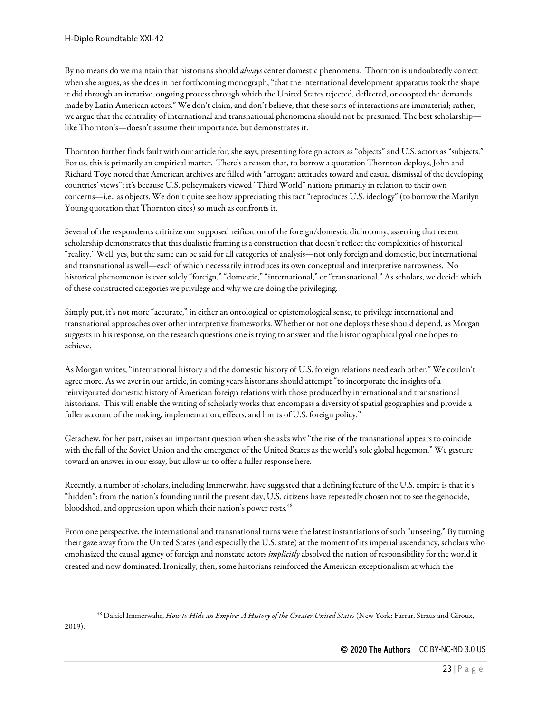By no means do we maintain that historians should *always*center domestic phenomena. Thornton is undoubtedly correct when she argues, as she does in her forthcoming monograph, "that the international development apparatus took the shape it did through an iterative, ongoing process through which the United States rejected, deflected, or coopted the demands made by Latin American actors." We don't claim, and don't believe, that these sorts of interactions are immaterial; rather, we argue that the centrality of international and transnational phenomena should not be presumed. The best scholarship like Thornton's—doesn't assume their importance, but demonstrates it.

Thornton further finds fault with our article for, she says, presenting foreign actors as "objects" and U.S. actors as "subjects." For us, this is primarily an empirical matter. There's a reason that, to borrow a quotation Thornton deploys, John and Richard Toye noted that American archives are filled with "arrogant attitudes toward and casual dismissal of the developing countries' views": it's because U.S. policymakers viewed "Third World" nations primarily in relation to their own concerns—i.e., as objects. We don't quite see how appreciating this fact "reproduces U.S. ideology" (to borrow the Marilyn Young quotation that Thornton cites) so much as confronts it.

Several of the respondents criticize our supposed reification of the foreign/domestic dichotomy, asserting that recent scholarship demonstrates that this dualistic framing is a construction that doesn't reflect the complexities of historical "reality." Well, yes, but the same can be said for all categories of analysis—not only foreign and domestic, but international and transnational as well—each of which necessarily introduces its own conceptual and interpretive narrowness. No historical phenomenon is ever solely "foreign," "domestic," "international," or "transnational." As scholars, we decide which of these constructed categories we privilege and why we are doing the privileging.

Simply put, it's not more "accurate," in either an ontological or epistemological sense, to privilege international and transnational approaches over other interpretive frameworks. Whether or not one deploys these should depend, as Morgan suggests in his response, on the research questions one is trying to answer and the historiographical goal one hopes to achieve.

As Morgan writes, "international history and the domestic history of U.S. foreign relations need each other." We couldn't agree more. As we aver in our article, in coming years historians should attempt "to incorporate the insights of a reinvigorated domestic history of American foreign relations with those produced by international and transnational historians. This will enable the writing of scholarly works that encompass a diversity of spatial geographies and provide a fuller account of the making, implementation, effects, and limits of U.S. foreign policy."

Getachew, for her part, raises an important question when she asks why "the rise of the transnational appears to coincide with the fall of the Soviet Union and the emergence of the United States as the world's sole global hegemon." We gesture toward an answer in our essay, but allow us to offer a fuller response here.

Recently, a number of scholars, including Immerwahr, have suggested that a defining feature of the U.S. empire is that it's "hidden": from the nation's founding until the present day, U.S. citizens have repeatedly chosen not to see the genocide, bloodshed, and oppression upon which their nation's power rests.<sup>[48](#page-22-0)</sup>

From one perspective, the international and transnational turns were the latest instantiations of such "unseeing." By turning their gaze away from the United States (and especially the U.S. state) at the moment of its imperial ascendancy, scholars who emphasized the causal agency of foreign and nonstate actors *implicitly*absolved the nation of responsibility for the world it created and now dominated. Ironically, then, some historians reinforced the American exceptionalism at which the

<span id="page-22-0"></span><sup>48</sup> Daniel Immerwahr, *How to Hide an Empire: A History of the Greater United States* (New York: Farrar, Straus and Giroux, 2019).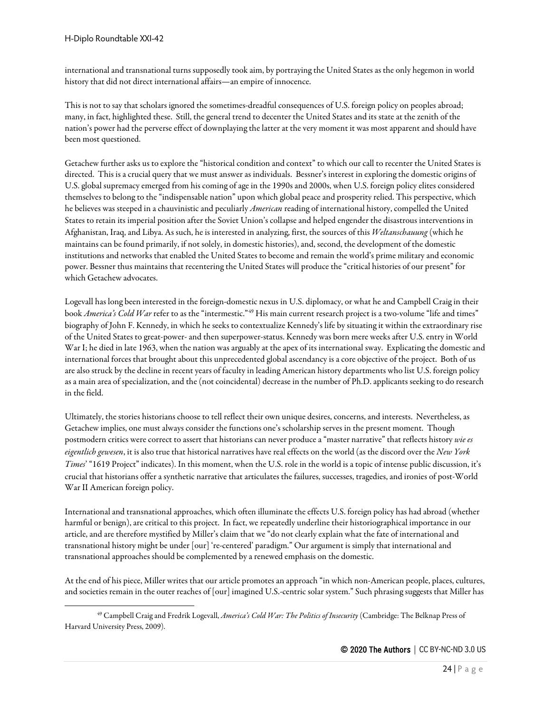international and transnational turns supposedly took aim, by portraying the United States as the only hegemon in world history that did not direct international affairs—an empire of innocence.

This is not to say that scholars ignored the sometimes-dreadful consequences of U.S. foreign policy on peoples abroad; many, in fact, highlighted these. Still, the general trend to decenter the United States and its state at the zenith of the nation's power had the perverse effect of downplaying the latter at the very moment it was most apparent and should have been most questioned.

Getachew further asks us to explore the "historical condition and context" to which our call to recenter the United States is directed. This is a crucial query that we must answer as individuals. Bessner's interest in exploring the domestic origins of U.S. global supremacy emerged from his coming of age in the 1990s and 2000s, when U.S. foreign policy elites considered themselves to belong to the "indispensable nation" upon which global peace and prosperity relied. This perspective, which he believes was steeped in a chauvinistic and peculiarly *American* reading of international history, compelled the United States to retain its imperial position after the Soviet Union's collapse and helped engender the disastrous interventions in Afghanistan, Iraq, and Libya. As such, he is interested in analyzing, first, the sources of this *Weltanschauung* (which he maintains can be found primarily, if not solely, in domestic histories), and, second, the development of the domestic institutions and networks that enabled the United States to become and remain the world's prime military and economic power. Bessner thus maintains that recentering the United States will produce the "critical histories of our present" for which Getachew advocates.

Logevall has long been interested in the foreign-domestic nexus in U.S. diplomacy, or what he and Campbell Craig in their book *America's Cold War* refer to as the "intermestic."[49](#page-23-0) His main current research project is a two-volume "life and times" biography of John F. Kennedy, in which he seeks to contextualize Kennedy's life by situating it within the extraordinary rise of the United States to great-power- and then superpower-status. Kennedy was born mere weeks after U.S. entry in World War I; he died in late 1963, when the nation was arguably at the apex of its international sway. Explicating the domestic and international forces that brought about this unprecedented global ascendancy is a core objective of the project. Both of us are also struck by the decline in recent years of faculty in leading American history departments who list U.S. foreign policy as a main area of specialization, and the (not coincidental) decrease in the number of Ph.D. applicants seeking to do research in the field.

Ultimately, the stories historians choose to tell reflect their own unique desires, concerns, and interests. Nevertheless, as Getachew implies, one must always consider the functions one's scholarship serves in the present moment. Though postmodern critics were correct to assert that historians can never produce a "master narrative" that reflects history *wie es eigentlich gewesen*, it is also true that historical narratives have real effects on the world (as the discord over the *New York Times*' "1619 Project" indicates). In this moment, when the U.S. role in the world is a topic of intense public discussion, it's crucial that historians offer a synthetic narrative that articulates the failures, successes, tragedies, and ironies of post-World War II American foreign policy.

International and transnational approaches, which often illuminate the effects U.S. foreign policy has had abroad (whether harmful or benign), are critical to this project. In fact, we repeatedly underline their historiographical importance in our article, and are therefore mystified by Miller's claim that we "do not clearly explain what the fate of international and transnational history might be under [our] 're-centered' paradigm." Our argument is simply that international and transnational approaches should be complemented by a renewed emphasis on the domestic.

At the end of his piece, Miller writes that our article promotes an approach "in which non-American people, places, cultures, and societies remain in the outer reaches of [our] imagined U.S.-centric solar system." Such phrasing suggests that Miller has

<span id="page-23-0"></span><sup>49</sup> Campbell Craig and Fredrik Logevall, *America's Cold War: The Politics of Insecurity* (Cambridge: The Belknap Press of Harvard University Press, 2009).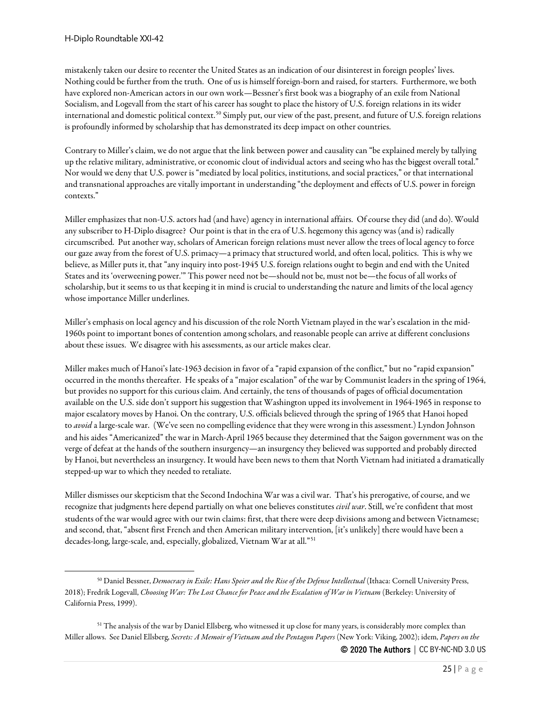mistakenly taken our desire to recenter the United States as an indication of our disinterest in foreign peoples' lives. Nothing could be further from the truth. One of us is himself foreign-born and raised, for starters. Furthermore, we both have explored non-American actors in our own work—Bessner's first book was a biography of an exile from National Socialism, and Logevall from the start of his career has sought to place the history of U.S. foreign relations in its wider international and domestic political context.[50](#page-24-0) Simply put, our view of the past, present, and future of U.S. foreign relations is profoundly informed by scholarship that has demonstrated its deep impact on other countries.

Contrary to Miller's claim, we do not argue that the link between power and causality can "be explained merely by tallying up the relative military, administrative, or economic clout of individual actors and seeing who has the biggest overall total." Nor would we deny that U.S. power is "mediated by local politics, institutions, and social practices," or that international and transnational approaches are vitally important in understanding "the deployment and effects of U.S. power in foreign contexts."

Miller emphasizes that non-U.S. actors had (and have) agency in international affairs. Of course they did (and do). Would any subscriber to H-Diplo disagree? Our point is that in the era of U.S. hegemony this agency was (and is) radically circumscribed. Put another way, scholars of American foreign relations must never allow the trees of local agency to force our gaze away from the forest of U.S. primacy—a primacy that structured world, and often local, politics. This is why we believe, as Miller puts it, that "any inquiry into post-1945 U.S. foreign relations ought to begin and end with the United States and its 'overweening power.'" This power need not be—should not be, must not be—the focus of all works of scholarship, but it seems to us that keeping it in mind is crucial to understanding the nature and limits of the local agency whose importance Miller underlines.

Miller's emphasis on local agency and his discussion of the role North Vietnam played in the war's escalation in the mid-1960s point to important bones of contention among scholars, and reasonable people can arrive at different conclusions about these issues. We disagree with his assessments, as our article makes clear.

Miller makes much of Hanoi's late-1963 decision in favor of a "rapid expansion of the conflict," but no "rapid expansion" occurred in the months thereafter. He speaks of a "major escalation" of the war by Communist leaders in the spring of 1964, but provides no support for this curious claim. And certainly, the tens of thousands of pages of official documentation available on the U.S. side don't support his suggestion that Washington upped its involvement in 1964-1965 in response to major escalatory moves by Hanoi. On the contrary, U.S. officials believed through the spring of 1965 that Hanoi hoped to *avoid* a large-scale war. (We've seen no compelling evidence that they were wrong in this assessment.) Lyndon Johnson and his aides "Americanized" the war in March-April 1965 because they determined that the Saigon government was on the verge of defeat at the hands of the southern insurgency—an insurgency they believed was supported and probably directed by Hanoi, but nevertheless an insurgency. It would have been news to them that North Vietnam had initiated a dramatically stepped-up war to which they needed to retaliate.

Miller dismisses our skepticism that the Second Indochina War was a civil war. That's his prerogative, of course, and we recognize that judgments here depend partially on what one believes constitutes *civil war*. Still, we're confident that most students of the war would agree with our twin claims: first, that there were deep divisions among and between Vietnamese; and second, that, "absent first French and then American military intervention, [it's unlikely] there would have been a decades-long, large-scale, and, especially, globalized, Vietnam War at all."[51](#page-24-1)

<span id="page-24-0"></span><sup>50</sup> Daniel Bessner, *Democracy in Exile: Hans Speier and the Rise of the Defense Intellectual* (Ithaca: Cornell University Press, 2018); Fredrik Logevall, *Choosing War: The Lost Chance for Peace and the Escalation of War in Vietnam* (Berkeley: University of California Press, 1999).

<span id="page-24-1"></span><sup>&</sup>lt;sup>51</sup> The analysis of the war by Daniel Ellsberg, who witnessed it up close for many years, is considerably more complex than Miller allows. See Daniel Ellsberg, *Secrets: A Memoir of Vietnam and the Pentagon Papers* (New York: Viking, 2002); idem, *Papers on the*